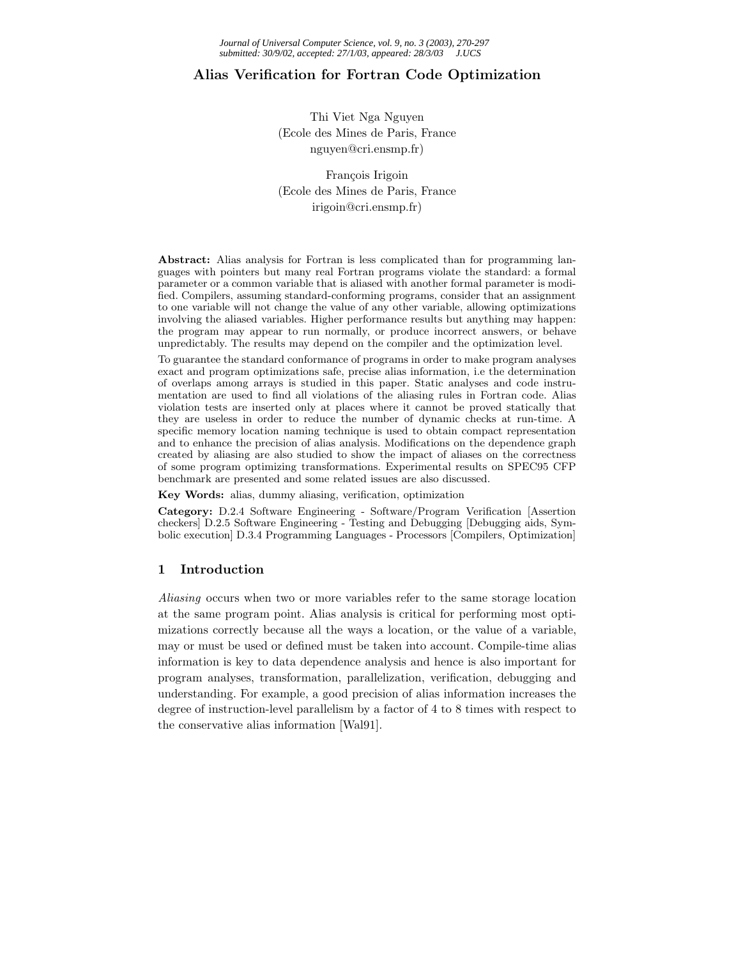# **Alias Verification for Fortran Code Optimization**

Thi Viet Nga Nguyen (Ecole des Mines de Paris, France nguyen@cri.ensmp.fr)

François Irigoin (Ecole des Mines de Paris, France irigoin@cri.ensmp.fr)

**Abstract:** Alias analysis for Fortran is less complicated than for programming languages with pointers but many real Fortran programs violate the standard: a formal parameter or a common variable that is aliased with another formal parameter is modified. Compilers, assuming standard-conforming programs, consider that an assignment to one variable will not change the value of any other variable, allowing optimizations involving the aliased variables. Higher performance results but anything may happen: the program may appear to run normally, or produce incorrect answers, or behave unpredictably. The results may depend on the compiler and the optimization level.

To guarantee the standard conformance of programs in order to make program analyses exact and program optimizations safe, precise alias information, i.e the determination of overlaps among arrays is studied in this paper. Static analyses and code instrumentation are used to find all violations of the aliasing rules in Fortran code. Alias violation tests are inserted only at places where it cannot be proved statically that they are useless in order to reduce the number of dynamic checks at run-time. A specific memory location naming technique is used to obtain compact representation and to enhance the precision of alias analysis. Modifications on the dependence graph created by aliasing are also studied to show the impact of aliases on the correctness of some program optimizing transformations. Experimental results on SPEC95 CFP benchmark are presented and some related issues are also discussed.

**Key Words:** alias, dummy aliasing, verification, optimization

**Category:** D.2.4 Software Engineering - Software/Program Verification [Assertion checkers] D.2.5 Software Engineering - Testing and Debugging [Debugging aids, Symbolic execution] D.3.4 Programming Languages - Processors [Compilers, Optimization]

# **1 Introduction**

*Aliasing* occurs when two or more variables refer to the same storage location at the same program point. Alias analysis is critical for performing most optimizations correctly because all the ways a location, or the value of a variable, may or must be used or defined must be taken into account. Compile-time alias information is key to data dependence analysis and hence is also important for program analyses, transformation, parallelization, verification, debugging and understanding. For example, a good precision of alias information increases the degree of instruction-level parallelism by a factor of 4 to 8 times with respect to the conservative alias information [Wal91].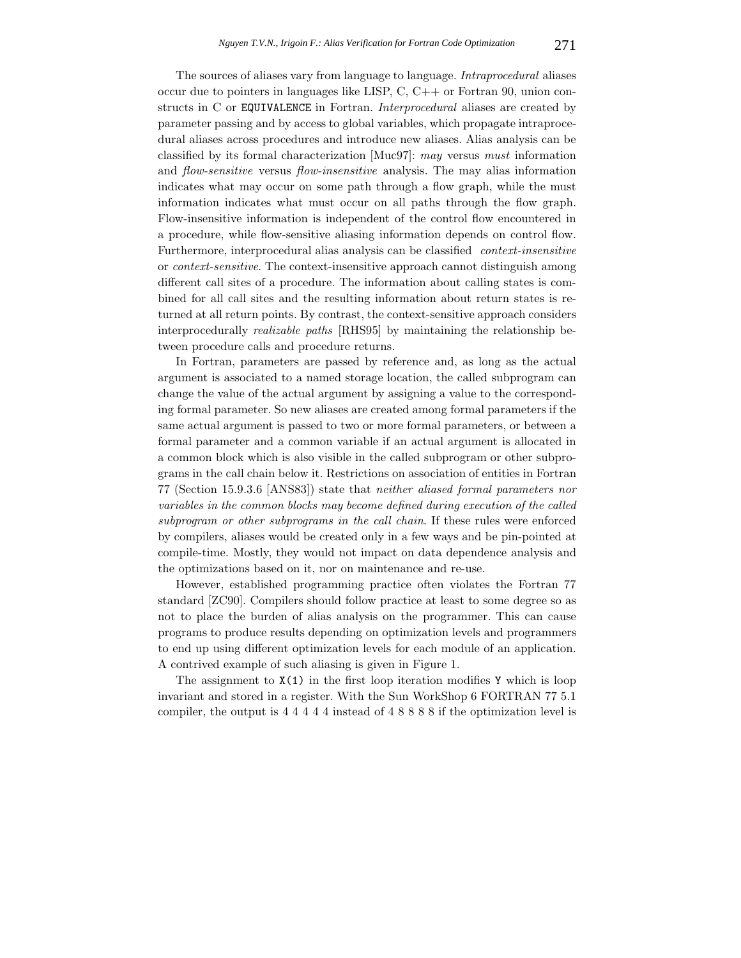The sources of aliases vary from language to language. *Intraprocedural* aliases occur due to pointers in languages like LISP, C, C++ or Fortran 90, union constructs in C or EQUIVALENCE in Fortran. *Interprocedural* aliases are created by parameter passing and by access to global variables, which propagate intraprocedural aliases across procedures and introduce new aliases. Alias analysis can be classified by its formal characterization [Muc97]: *may* versus *must* information and *flow-sensitive* versus *flow-insensitive* analysis. The may alias information indicates what may occur on some path through a flow graph, while the must information indicates what must occur on all paths through the flow graph. Flow-insensitive information is independent of the control flow encountered in a procedure, while flow-sensitive aliasing information depends on control flow. Furthermore, interprocedural alias analysis can be classified *context-insensitive* or *context-sensitive*. The context-insensitive approach cannot distinguish among different call sites of a procedure. The information about calling states is combined for all call sites and the resulting information about return states is returned at all return points. By contrast, the context-sensitive approach considers interprocedurally *realizable paths* [RHS95] by maintaining the relationship between procedure calls and procedure returns.

In Fortran, parameters are passed by reference and, as long as the actual argument is associated to a named storage location, the called subprogram can change the value of the actual argument by assigning a value to the corresponding formal parameter. So new aliases are created among formal parameters if the same actual argument is passed to two or more formal parameters, or between a formal parameter and a common variable if an actual argument is allocated in a common block which is also visible in the called subprogram or other subprograms in the call chain below it. Restrictions on association of entities in Fortran 77 (Section 15.9.3.6 [ANS83]) state that *neither aliased formal parameters nor variables in the common blocks may become defined during execution of the called subprogram or other subprograms in the call chain*. If these rules were enforced by compilers, aliases would be created only in a few ways and be pin-pointed at compile-time. Mostly, they would not impact on data dependence analysis and the optimizations based on it, nor on maintenance and re-use.

However, established programming practice often violates the Fortran 77 standard [ZC90]. Compilers should follow practice at least to some degree so as not to place the burden of alias analysis on the programmer. This can cause programs to produce results depending on optimization levels and programmers to end up using different optimization levels for each module of an application. A contrived example of such aliasing is given in Figure 1.

The assignment to  $X(1)$  in the first loop iteration modifies Y which is loop invariant and stored in a register. With the Sun WorkShop 6 FORTRAN 77 5.1 compiler, the output is 4 4 4 4 4 instead of 4 8 8 8 8 if the optimization level is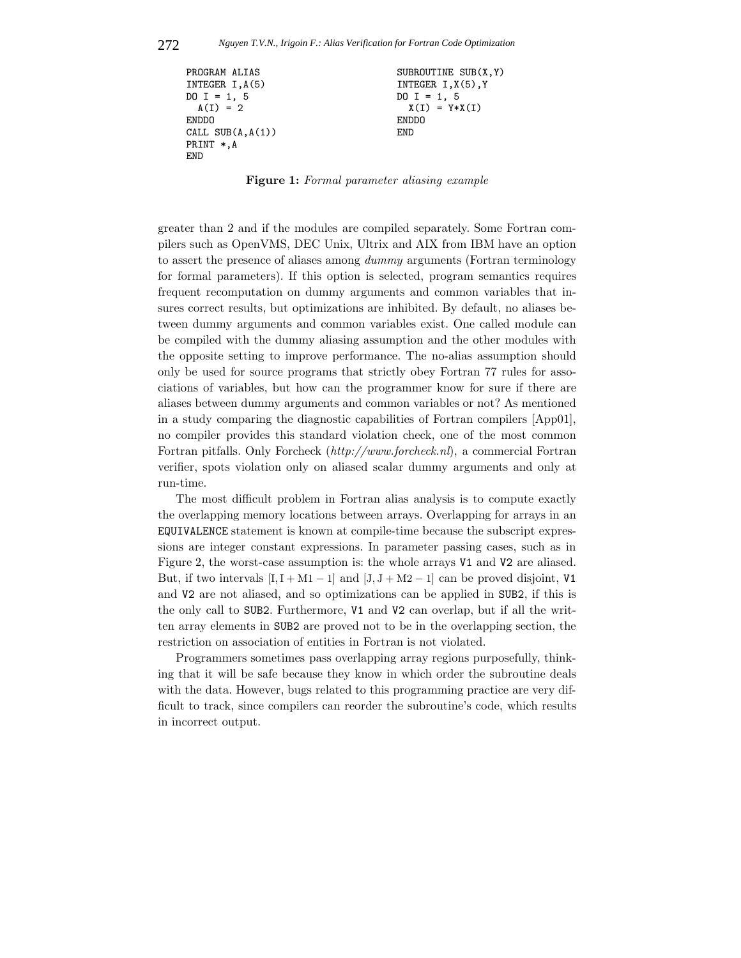```
PROGRAM ALIAS SUBROUTINE SUB(X, Y)
INTEGER I, A(5) INTEGER I, X(5), Y
D0 I = 1, 5 DO I = 1, 5A(I) = 2 X(I) = Y*X(I)ENDDO ENDDO
CALL SUB(A,A(1)) END
PRINT *,A
END
```
**Figure 1:** *Formal parameter aliasing example*

greater than 2 and if the modules are compiled separately. Some Fortran compilers such as OpenVMS, DEC Unix, Ultrix and AIX from IBM have an option to assert the presence of aliases among *dummy* arguments (Fortran terminology for formal parameters). If this option is selected, program semantics requires frequent recomputation on dummy arguments and common variables that insures correct results, but optimizations are inhibited. By default, no aliases between dummy arguments and common variables exist. One called module can be compiled with the dummy aliasing assumption and the other modules with the opposite setting to improve performance. The no-alias assumption should only be used for source programs that strictly obey Fortran 77 rules for associations of variables, but how can the programmer know for sure if there are aliases between dummy arguments and common variables or not? As mentioned in a study comparing the diagnostic capabilities of Fortran compilers [App01], no compiler provides this standard violation check, one of the most common Fortran pitfalls. Only Forcheck (*http://www.forcheck.nl*), a commercial Fortran verifier, spots violation only on aliased scalar dummy arguments and only at run-time.

The most difficult problem in Fortran alias analysis is to compute exactly the overlapping memory locations between arrays. Overlapping for arrays in an EQUIVALENCE statement is known at compile-time because the subscript expressions are integer constant expressions. In parameter passing cases, such as in Figure 2, the worst-case assumption is: the whole arrays V1 and V2 are aliased. But, if two intervals  $[I, I + M1 - 1]$  and  $[J, J + M2 - 1]$  can be proved disjoint, V1 and V2 are not aliased, and so optimizations can be applied in SUB2, if this is the only call to SUB2. Furthermore, V1 and V2 can overlap, but if all the written array elements in SUB2 are proved not to be in the overlapping section, the restriction on association of entities in Fortran is not violated.

Programmers sometimes pass overlapping array regions purposefully, thinking that it will be safe because they know in which order the subroutine deals with the data. However, bugs related to this programming practice are very difficult to track, since compilers can reorder the subroutine's code, which results in incorrect output.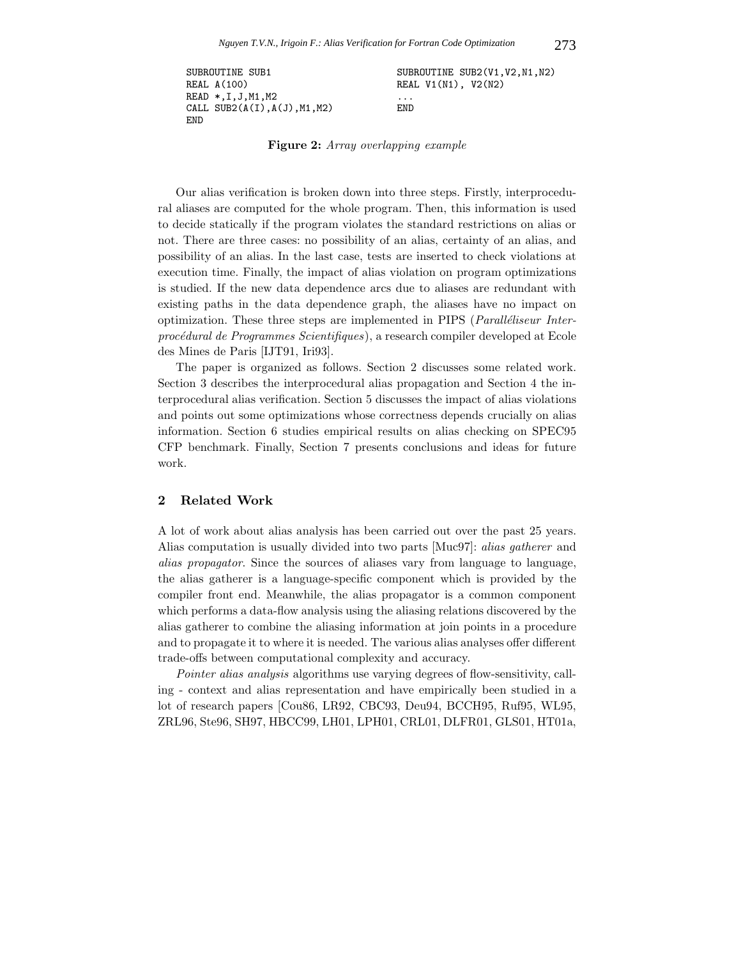```
SUBROUTINE SUB1 SUBROUTINE SUB2(V1, V2, N1, N2)
REAL A(100) REAL V1(N1), V2(N2)
READ *, I, J, M1, M2 ...
CALL SUB2(A(I), A(J), M1, M2) END
END
```
**Figure 2:** *Array overlapping example*

Our alias verification is broken down into three steps. Firstly, interprocedural aliases are computed for the whole program. Then, this information is used to decide statically if the program violates the standard restrictions on alias or not. There are three cases: no possibility of an alias, certainty of an alias, and possibility of an alias. In the last case, tests are inserted to check violations at execution time. Finally, the impact of alias violation on program optimizations is studied. If the new data dependence arcs due to aliases are redundant with existing paths in the data dependence graph, the aliases have no impact on optimization. These three steps are implemented in PIPS (*Paralléliseur Interproc´edural de Programmes Scientifiques*), a research compiler developed at Ecole des Mines de Paris [IJT91, Iri93].

The paper is organized as follows. Section 2 discusses some related work. Section 3 describes the interprocedural alias propagation and Section 4 the interprocedural alias verification. Section 5 discusses the impact of alias violations and points out some optimizations whose correctness depends crucially on alias information. Section 6 studies empirical results on alias checking on SPEC95 CFP benchmark. Finally, Section 7 presents conclusions and ideas for future work.

### **2 Related Work**

A lot of work about alias analysis has been carried out over the past 25 years. Alias computation is usually divided into two parts [Muc97]: *alias gatherer* and *alias propagator*. Since the sources of aliases vary from language to language, the alias gatherer is a language-specific component which is provided by the compiler front end. Meanwhile, the alias propagator is a common component which performs a data-flow analysis using the aliasing relations discovered by the alias gatherer to combine the aliasing information at join points in a procedure and to propagate it to where it is needed. The various alias analyses offer different trade-offs between computational complexity and accuracy.

*Pointer alias analysis* algorithms use varying degrees of flow-sensitivity, calling - context and alias representation and have empirically been studied in a lot of research papers [Cou86, LR92, CBC93, Deu94, BCCH95, Ruf95, WL95, ZRL96, Ste96, SH97, HBCC99, LH01, LPH01, CRL01, DLFR01, GLS01, HT01a,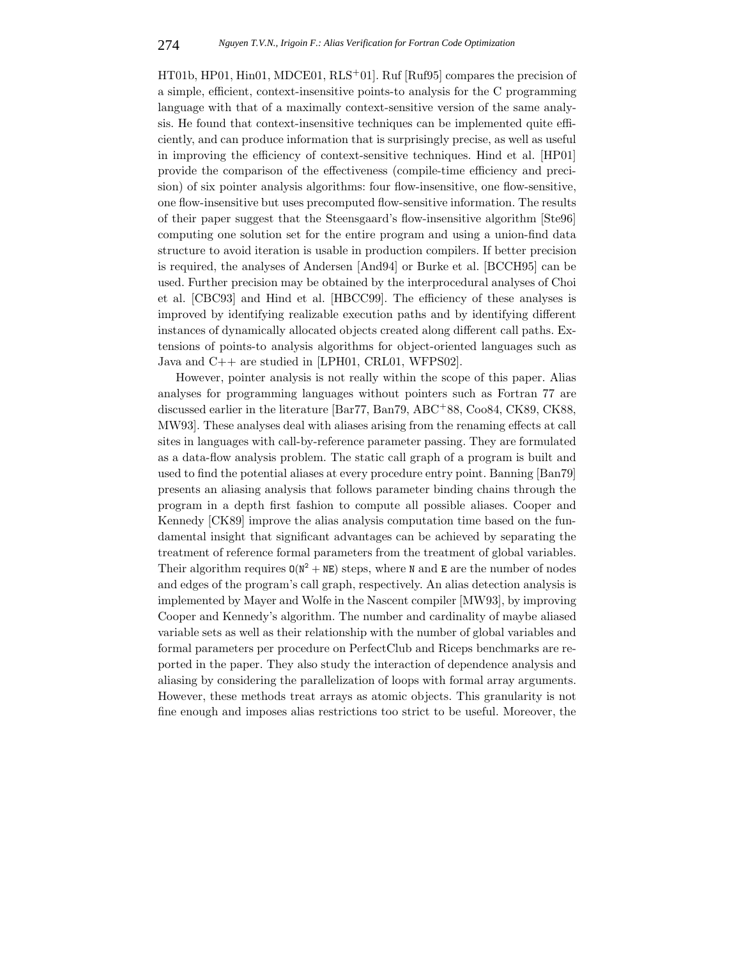HT01b, HP01, Hin01, MDCE01, RLS+01]. Ruf [Ruf95] compares the precision of a simple, efficient, context-insensitive points-to analysis for the C programming language with that of a maximally context-sensitive version of the same analysis. He found that context-insensitive techniques can be implemented quite efficiently, and can produce information that is surprisingly precise, as well as useful in improving the efficiency of context-sensitive techniques. Hind et al. [HP01] provide the comparison of the effectiveness (compile-time efficiency and precision) of six pointer analysis algorithms: four flow-insensitive, one flow-sensitive, one flow-insensitive but uses precomputed flow-sensitive information. The results of their paper suggest that the Steensgaard's flow-insensitive algorithm [Ste96] computing one solution set for the entire program and using a union-find data structure to avoid iteration is usable in production compilers. If better precision is required, the analyses of Andersen [And94] or Burke et al. [BCCH95] can be used. Further precision may be obtained by the interprocedural analyses of Choi et al. [CBC93] and Hind et al. [HBCC99]. The efficiency of these analyses is improved by identifying realizable execution paths and by identifying different instances of dynamically allocated objects created along different call paths. Extensions of points-to analysis algorithms for object-oriented languages such as Java and C++ are studied in [LPH01, CRL01, WFPS02].

However, pointer analysis is not really within the scope of this paper. Alias analyses for programming languages without pointers such as Fortran 77 are discussed earlier in the literature [Bar77, Ban79, ABC+88, Coo84, CK89, CK88, MW93]. These analyses deal with aliases arising from the renaming effects at call sites in languages with call-by-reference parameter passing. They are formulated as a data-flow analysis problem. The static call graph of a program is built and used to find the potential aliases at every procedure entry point. Banning [Ban79] presents an aliasing analysis that follows parameter binding chains through the program in a depth first fashion to compute all possible aliases. Cooper and Kennedy [CK89] improve the alias analysis computation time based on the fundamental insight that significant advantages can be achieved by separating the treatment of reference formal parameters from the treatment of global variables. Their algorithm requires  $O(N^2 + NE)$  steps, where N and E are the number of nodes and edges of the program's call graph, respectively. An alias detection analysis is implemented by Mayer and Wolfe in the Nascent compiler [MW93], by improving Cooper and Kennedy's algorithm. The number and cardinality of maybe aliased variable sets as well as their relationship with the number of global variables and formal parameters per procedure on PerfectClub and Riceps benchmarks are reported in the paper. They also study the interaction of dependence analysis and aliasing by considering the parallelization of loops with formal array arguments. However, these methods treat arrays as atomic objects. This granularity is not fine enough and imposes alias restrictions too strict to be useful. Moreover, the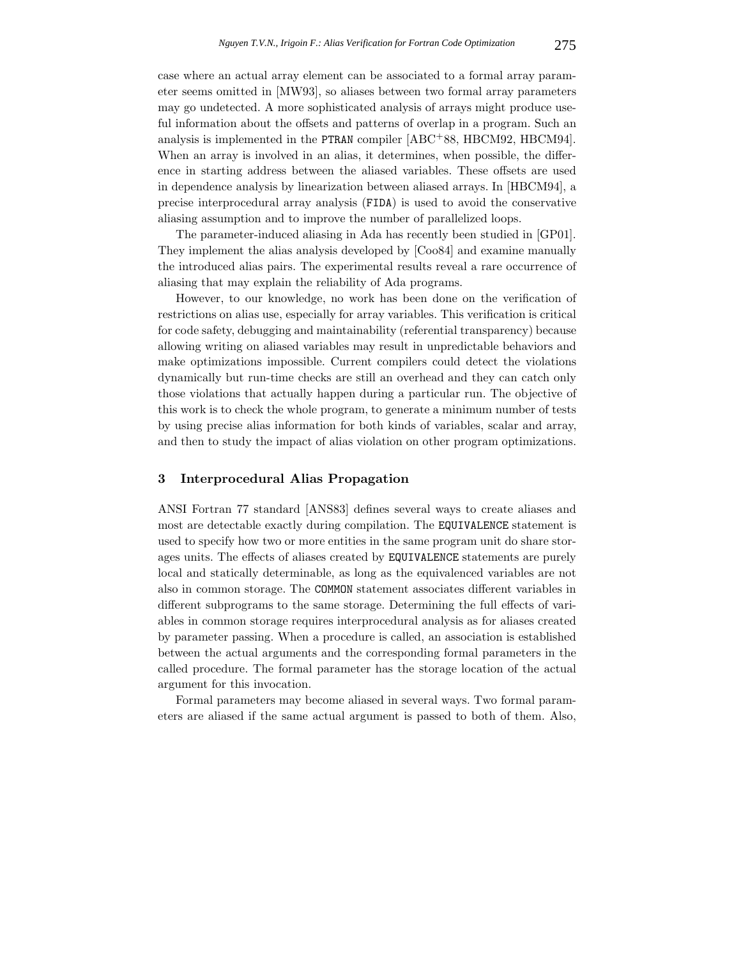case where an actual array element can be associated to a formal array parameter seems omitted in [MW93], so aliases between two formal array parameters may go undetected. A more sophisticated analysis of arrays might produce useful information about the offsets and patterns of overlap in a program. Such an analysis is implemented in the PTRAN compiler [ABC+88, HBCM92, HBCM94]. When an array is involved in an alias, it determines, when possible, the difference in starting address between the aliased variables. These offsets are used in dependence analysis by linearization between aliased arrays. In [HBCM94], a precise interprocedural array analysis (FIDA) is used to avoid the conservative aliasing assumption and to improve the number of parallelized loops.

The parameter-induced aliasing in Ada has recently been studied in [GP01]. They implement the alias analysis developed by [Coo84] and examine manually the introduced alias pairs. The experimental results reveal a rare occurrence of aliasing that may explain the reliability of Ada programs.

However, to our knowledge, no work has been done on the verification of restrictions on alias use, especially for array variables. This verification is critical for code safety, debugging and maintainability (referential transparency) because allowing writing on aliased variables may result in unpredictable behaviors and make optimizations impossible. Current compilers could detect the violations dynamically but run-time checks are still an overhead and they can catch only those violations that actually happen during a particular run. The objective of this work is to check the whole program, to generate a minimum number of tests by using precise alias information for both kinds of variables, scalar and array, and then to study the impact of alias violation on other program optimizations.

## **3 Interprocedural Alias Propagation**

ANSI Fortran 77 standard [ANS83] defines several ways to create aliases and most are detectable exactly during compilation. The EQUIVALENCE statement is used to specify how two or more entities in the same program unit do share storages units. The effects of aliases created by EQUIVALENCE statements are purely local and statically determinable, as long as the equivalenced variables are not also in common storage. The COMMON statement associates different variables in different subprograms to the same storage. Determining the full effects of variables in common storage requires interprocedural analysis as for aliases created by parameter passing. When a procedure is called, an association is established between the actual arguments and the corresponding formal parameters in the called procedure. The formal parameter has the storage location of the actual argument for this invocation.

Formal parameters may become aliased in several ways. Two formal parameters are aliased if the same actual argument is passed to both of them. Also,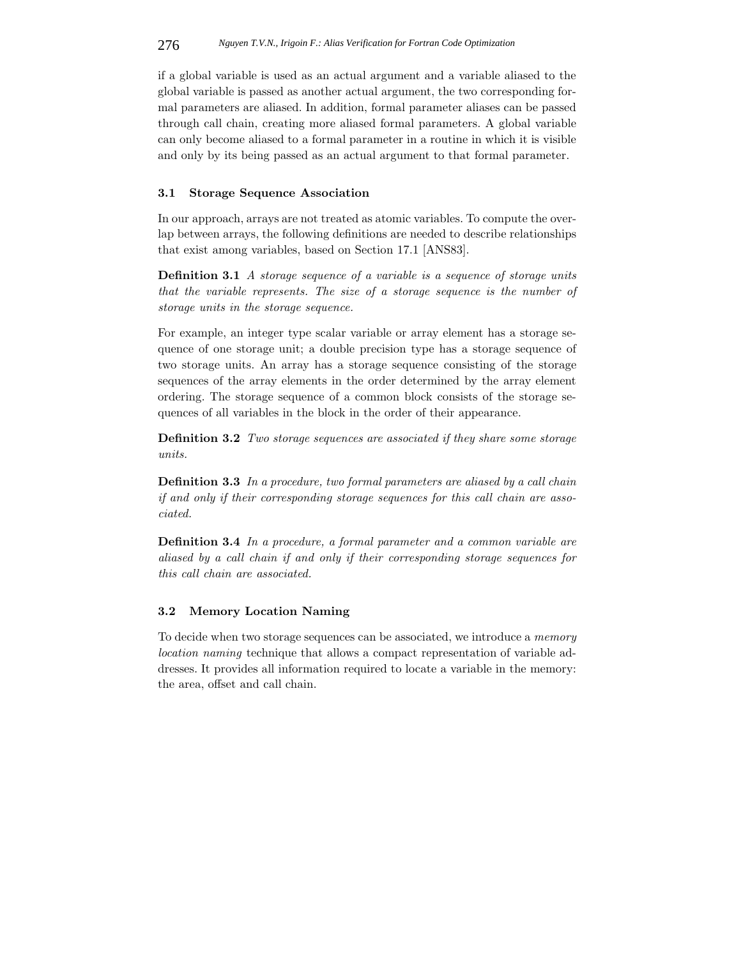if a global variable is used as an actual argument and a variable aliased to the global variable is passed as another actual argument, the two corresponding formal parameters are aliased. In addition, formal parameter aliases can be passed through call chain, creating more aliased formal parameters. A global variable can only become aliased to a formal parameter in a routine in which it is visible and only by its being passed as an actual argument to that formal parameter.

# **3.1 Storage Sequence Association**

In our approach, arrays are not treated as atomic variables. To compute the overlap between arrays, the following definitions are needed to describe relationships that exist among variables, based on Section 17.1 [ANS83].

**Definition 3.1** *A storage sequence of a variable is a sequence of storage units that the variable represents. The size of a storage sequence is the number of storage units in the storage sequence.*

For example, an integer type scalar variable or array element has a storage sequence of one storage unit; a double precision type has a storage sequence of two storage units. An array has a storage sequence consisting of the storage sequences of the array elements in the order determined by the array element ordering. The storage sequence of a common block consists of the storage sequences of all variables in the block in the order of their appearance.

**Definition 3.2** *Two storage sequences are associated if they share some storage units.*

**Definition 3.3** *In a procedure, two formal parameters are aliased by a call chain if and only if their corresponding storage sequences for this call chain are associated.*

**Definition 3.4** *In a procedure, a formal parameter and a common variable are aliased by a call chain if and only if their corresponding storage sequences for this call chain are associated.*

### **3.2 Memory Location Naming**

To decide when two storage sequences can be associated, we introduce a *memory location naming* technique that allows a compact representation of variable addresses. It provides all information required to locate a variable in the memory: the area, offset and call chain.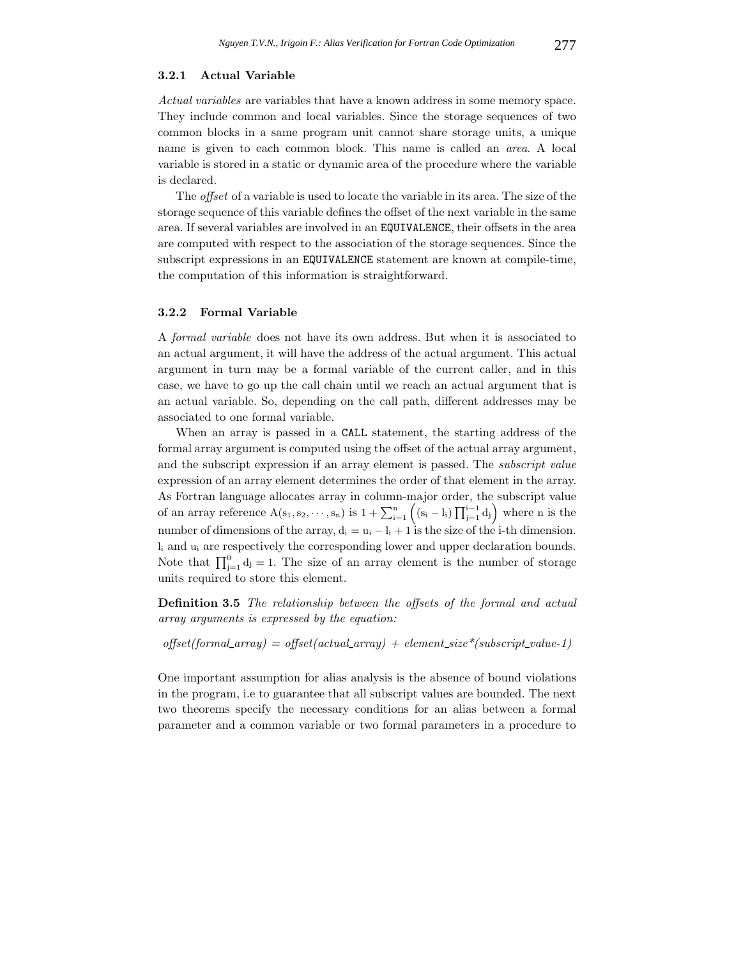#### **3.2.1 Actual Variable**

*Actual variables* are variables that have a known address in some memory space. They include common and local variables. Since the storage sequences of two common blocks in a same program unit cannot share storage units, a unique name is given to each common block. This name is called an *area*. A local variable is stored in a static or dynamic area of the procedure where the variable is declared.

The *offset* of a variable is used to locate the variable in its area. The size of the storage sequence of this variable defines the offset of the next variable in the same area. If several variables are involved in an EQUIVALENCE, their offsets in the area are computed with respect to the association of the storage sequences. Since the subscript expressions in an EQUIVALENCE statement are known at compile-time, the computation of this information is straightforward.

### **3.2.2 Formal Variable**

A *formal variable* does not have its own address. But when it is associated to an actual argument, it will have the address of the actual argument. This actual argument in turn may be a formal variable of the current caller, and in this case, we have to go up the call chain until we reach an actual argument that is an actual variable. So, depending on the call path, different addresses may be associated to one formal variable.

When an array is passed in a CALL statement, the starting address of the formal array argument is computed using the offset of the actual array argument, and the subscript expression if an array element is passed. The *subscript value* expression of an array element determines the order of that element in the array. As Fortran language allocates array in column-major order, the subscript value of an array reference  $A(s_1, s_2, \dots, s_n)$  is  $1 + \sum_{i=1}^n ((s_i - l_i) \prod_{j=1}^{i-1} d_j)$  where n is the number of dimensions of the array,  $d_i = u_i - l_i + 1$  is the size of the i-th dimension. l<sup>i</sup> and u<sup>i</sup> are respectively the corresponding lower and upper declaration bounds. Note that  $\prod_{j=1}^{0} d_j = 1$ . The size of an array element is the number of storage units required to store this element.

**Definition 3.5** *The relationship between the offsets of the formal and actual array arguments is expressed by the equation:*

 $offset(formal array) = offset(actual.array) + element_size*(subset value-1)$ 

One important assumption for alias analysis is the absence of bound violations in the program, i.e to guarantee that all subscript values are bounded. The next two theorems specify the necessary conditions for an alias between a formal parameter and a common variable or two formal parameters in a procedure to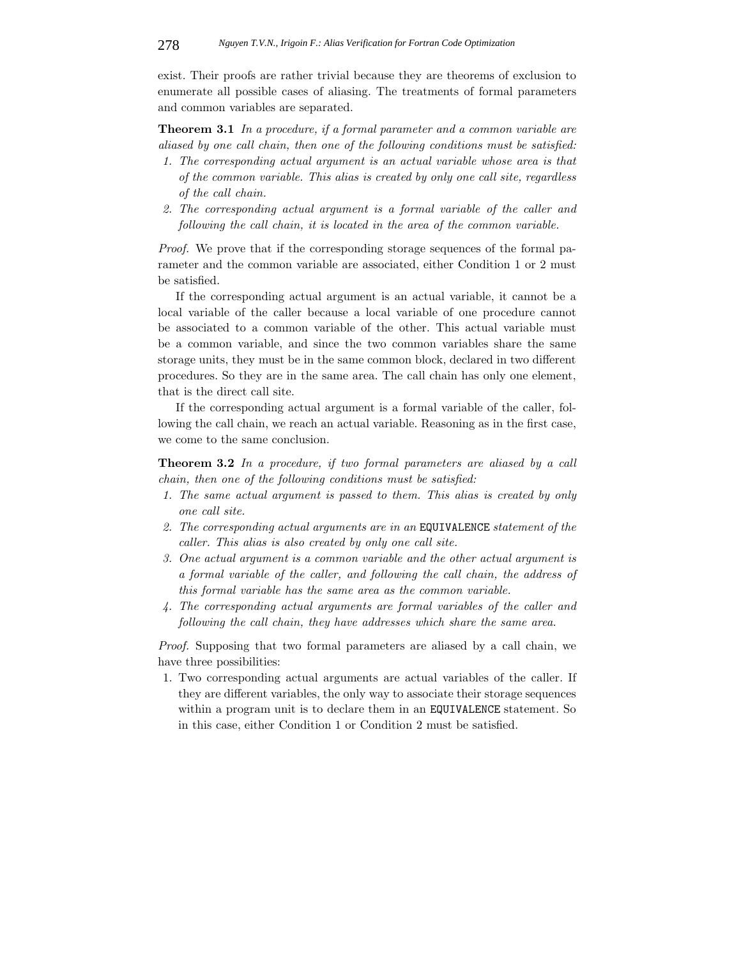exist. Their proofs are rather trivial because they are theorems of exclusion to enumerate all possible cases of aliasing. The treatments of formal parameters and common variables are separated.

**Theorem 3.1** *In a procedure, if a formal parameter and a common variable are aliased by one call chain, then one of the following conditions must be satisfied:*

- *1. The corresponding actual argument is an actual variable whose area is that of the common variable. This alias is created by only one call site, regardless of the call chain.*
- *2. The corresponding actual argument is a formal variable of the caller and following the call chain, it is located in the area of the common variable.*

*Proof.* We prove that if the corresponding storage sequences of the formal parameter and the common variable are associated, either Condition 1 or 2 must be satisfied.

If the corresponding actual argument is an actual variable, it cannot be a local variable of the caller because a local variable of one procedure cannot be associated to a common variable of the other. This actual variable must be a common variable, and since the two common variables share the same storage units, they must be in the same common block, declared in two different procedures. So they are in the same area. The call chain has only one element, that is the direct call site.

If the corresponding actual argument is a formal variable of the caller, following the call chain, we reach an actual variable. Reasoning as in the first case, we come to the same conclusion.

**Theorem 3.2** *In a procedure, if two formal parameters are aliased by a call chain, then one of the following conditions must be satisfied:*

- *1. The same actual argument is passed to them. This alias is created by only one call site.*
- *2. The corresponding actual arguments are in an* EQUIVALENCE *statement of the caller. This alias is also created by only one call site.*
- *3. One actual argument is a common variable and the other actual argument is a formal variable of the caller, and following the call chain, the address of this formal variable has the same area as the common variable.*
- *4. The corresponding actual arguments are formal variables of the caller and following the call chain, they have addresses which share the same area.*

*Proof.* Supposing that two formal parameters are aliased by a call chain, we have three possibilities:

1. Two corresponding actual arguments are actual variables of the caller. If they are different variables, the only way to associate their storage sequences within a program unit is to declare them in an EQUIVALENCE statement. So in this case, either Condition 1 or Condition 2 must be satisfied.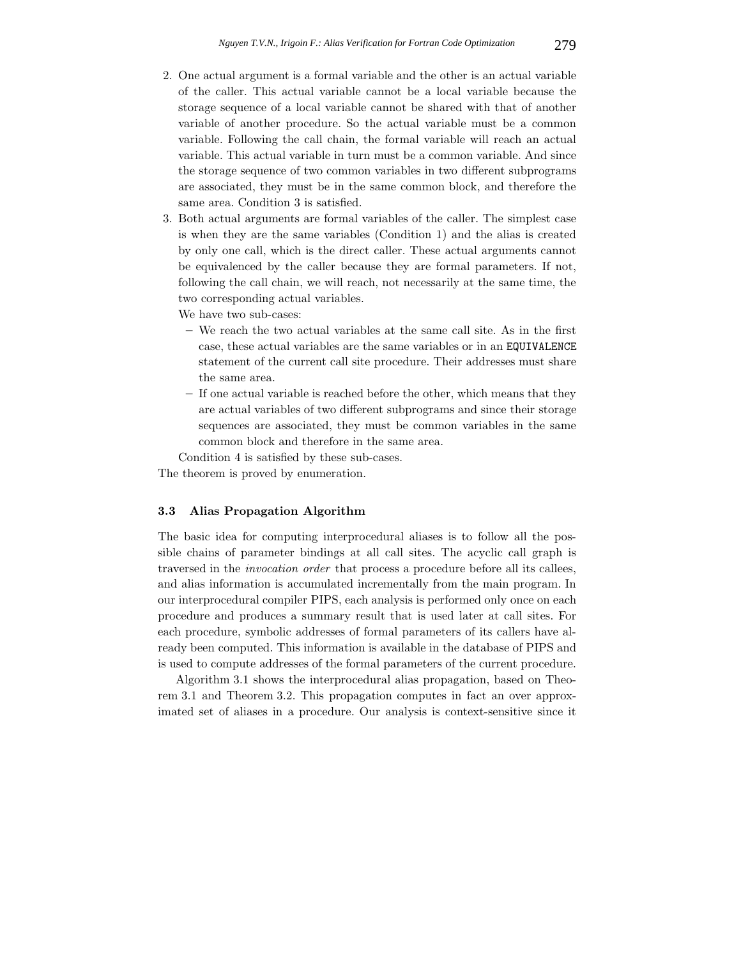- 2. One actual argument is a formal variable and the other is an actual variable of the caller. This actual variable cannot be a local variable because the storage sequence of a local variable cannot be shared with that of another variable of another procedure. So the actual variable must be a common variable. Following the call chain, the formal variable will reach an actual variable. This actual variable in turn must be a common variable. And since the storage sequence of two common variables in two different subprograms are associated, they must be in the same common block, and therefore the same area. Condition 3 is satisfied.
- 3. Both actual arguments are formal variables of the caller. The simplest case is when they are the same variables (Condition 1) and the alias is created by only one call, which is the direct caller. These actual arguments cannot be equivalenced by the caller because they are formal parameters. If not, following the call chain, we will reach, not necessarily at the same time, the two corresponding actual variables.

We have two sub-cases:

- **–** We reach the two actual variables at the same call site. As in the first case, these actual variables are the same variables or in an EQUIVALENCE statement of the current call site procedure. Their addresses must share the same area.
- **–** If one actual variable is reached before the other, which means that they are actual variables of two different subprograms and since their storage sequences are associated, they must be common variables in the same common block and therefore in the same area.

Condition 4 is satisfied by these sub-cases.

The theorem is proved by enumeration.

# **3.3 Alias Propagation Algorithm**

The basic idea for computing interprocedural aliases is to follow all the possible chains of parameter bindings at all call sites. The acyclic call graph is traversed in the *invocation order* that process a procedure before all its callees, and alias information is accumulated incrementally from the main program. In our interprocedural compiler PIPS, each analysis is performed only once on each procedure and produces a summary result that is used later at call sites. For each procedure, symbolic addresses of formal parameters of its callers have already been computed. This information is available in the database of PIPS and is used to compute addresses of the formal parameters of the current procedure.

Algorithm 3.1 shows the interprocedural alias propagation, based on Theorem 3.1 and Theorem 3.2. This propagation computes in fact an over approximated set of aliases in a procedure. Our analysis is context-sensitive since it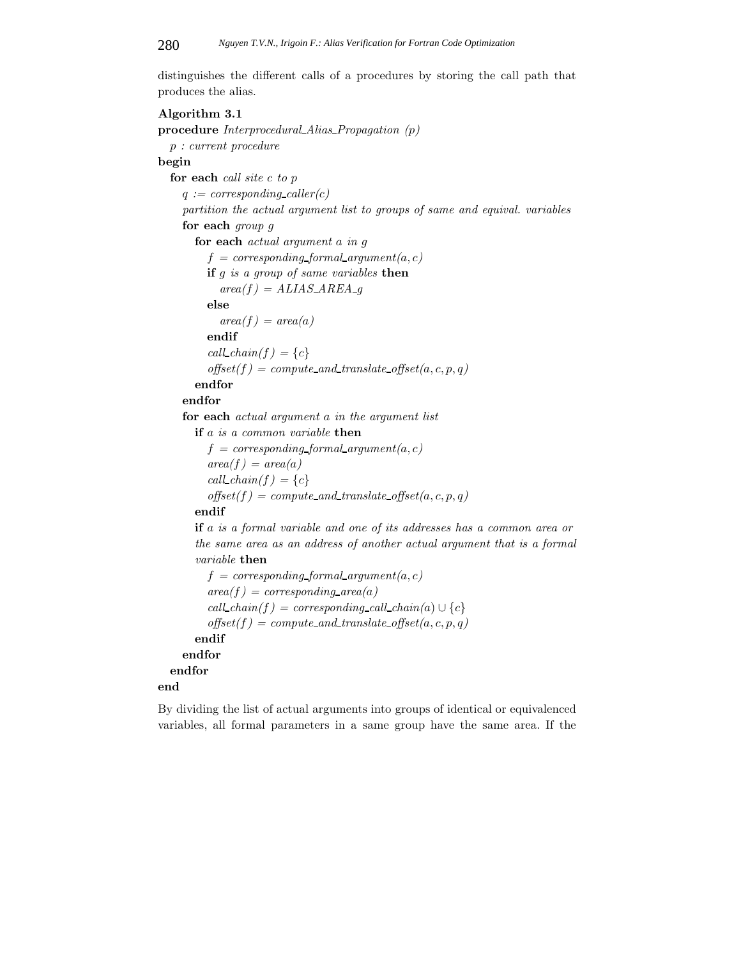distinguishes the different calls of a procedures by storing the call path that produces the alias.

# **Algorithm 3.1 procedure** *Interprocedural Alias Propagation (p) p : current procedure* **begin for each** *call site c to p*  $q := corresponding\_caller(c)$ *partition the actual argument list to groups of same and equival. variables* **for each** *group g* **for each** *actual argument a in g*  $f = corresponding$  *formal\_argument(a, c)* **if** *g is a group of same variables* **then**  $area(f) = ALIAS\_AREA$  *g* **else**  $area(f) = area(a)$ **endif**  $call\_chain(f) = \{c\}$  $offset(f) = compute\_and\_translate\_offset(a, c, p, q)$ **endfor endfor for each** *actual argument a in the argument list* **if** *a is a common variable* **then**  $f = corresponding_{formal\_argument(a, c)}$  $area(f) = area(a)$  $call\_chain(f) = \{c\}$  $offset(f) = compute\_and\_translate\_offset(a, c, p, q)$ **endif if** *a is a formal variable and one of its addresses has a common area or the same area as an address of another actual argument that is a formal variable* **then**  $f = corresponding$  *formal\_argument(a, c)*  $area(f) = corresponding\_area(a)$  $call\_chain(f) = corresponding\_call\_chain(a) \cup \{c\}$  $offset(f) = compute\_and\_translate\_offset(a, c, p, q)$ **endif endfor endfor end**

By dividing the list of actual arguments into groups of identical or equivalenced variables, all formal parameters in a same group have the same area. If the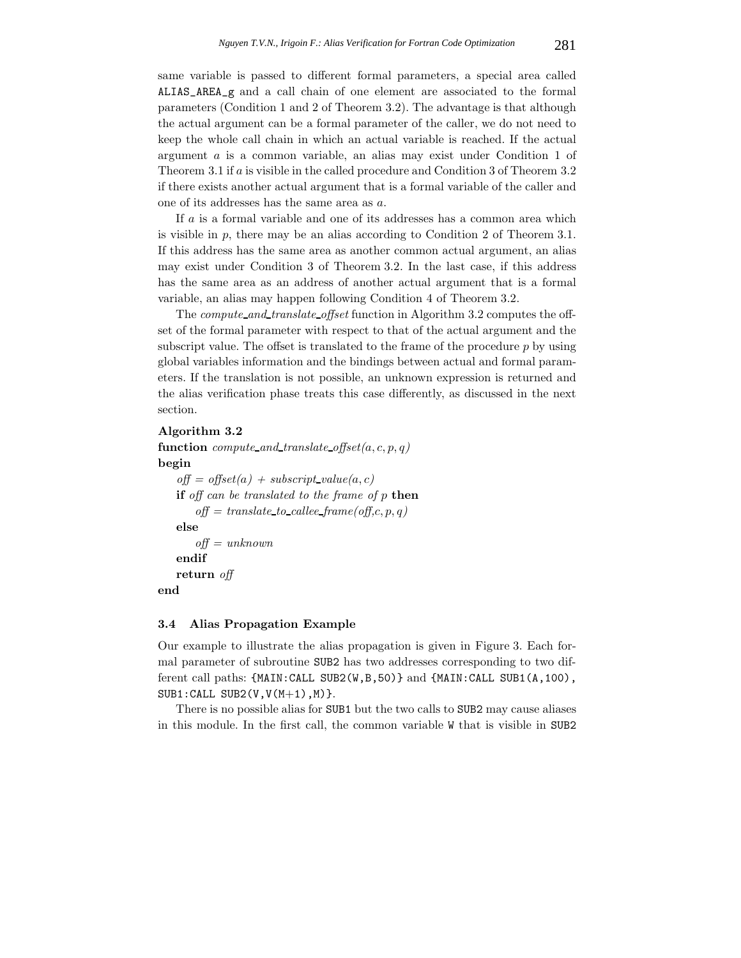same variable is passed to different formal parameters, a special area called ALIAS\_AREA\_g and a call chain of one element are associated to the formal parameters (Condition 1 and 2 of Theorem 3.2). The advantage is that although the actual argument can be a formal parameter of the caller, we do not need to keep the whole call chain in which an actual variable is reached. If the actual argument *a* is a common variable, an alias may exist under Condition 1 of Theorem 3.1 if *a* is visible in the called procedure and Condition 3 of Theorem 3.2 if there exists another actual argument that is a formal variable of the caller and one of its addresses has the same area as *a*.

If *a* is a formal variable and one of its addresses has a common area which is visible in  $p$ , there may be an alias according to Condition 2 of Theorem 3.1. If this address has the same area as another common actual argument, an alias may exist under Condition 3 of Theorem 3.2. In the last case, if this address has the same area as an address of another actual argument that is a formal variable, an alias may happen following Condition 4 of Theorem 3.2.

The *compute and translate offset* function in Algorithm 3.2 computes the offset of the formal parameter with respect to that of the actual argument and the subscript value. The offset is translated to the frame of the procedure *p* by using global variables information and the bindings between actual and formal parameters. If the translation is not possible, an unknown expression is returned and the alias verification phase treats this case differently, as discussed in the next section.

### **Algorithm 3.2**

```
function compute_and_translate_offset(a, c, p, q)
begin
    \text{off} = \text{offset}(a) + \text{subscript value}(a, c)if off can be translated to the frame of p then
        off = translate to callee frame(off,c, p, q)
```
**else**

```
endif
return off
```
**end**

### **3.4 Alias Propagation Example**

*off = unknown*

Our example to illustrate the alias propagation is given in Figure 3. Each formal parameter of subroutine SUB2 has two addresses corresponding to two different call paths: {MAIN:CALL SUB2(W,B,50)} and {MAIN:CALL SUB1(A,100),  $SUB1:CALL SUB2(V, V(M+1), M).$ 

There is no possible alias for SUB1 but the two calls to SUB2 may cause aliases in this module. In the first call, the common variable W that is visible in SUB2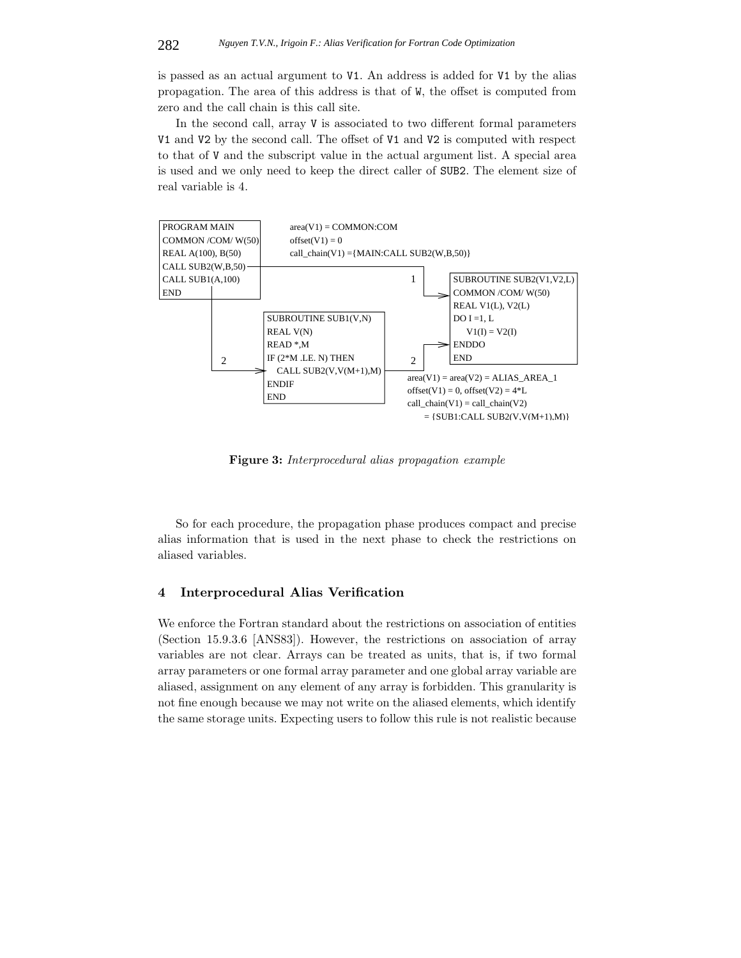is passed as an actual argument to V1. An address is added for V1 by the alias propagation. The area of this address is that of W, the offset is computed from zero and the call chain is this call site.

In the second call, array V is associated to two different formal parameters V1 and V2 by the second call. The offset of V1 and V2 is computed with respect to that of V and the subscript value in the actual argument list. A special area is used and we only need to keep the direct caller of SUB2. The element size of real variable is 4.



**Figure 3:** *Interprocedural alias propagation example*

So for each procedure, the propagation phase produces compact and precise alias information that is used in the next phase to check the restrictions on aliased variables.

# **4 Interprocedural Alias Verification**

We enforce the Fortran standard about the restrictions on association of entities (Section 15.9.3.6 [ANS83]). However, the restrictions on association of array variables are not clear. Arrays can be treated as units, that is, if two formal array parameters or one formal array parameter and one global array variable are aliased, assignment on any element of any array is forbidden. This granularity is not fine enough because we may not write on the aliased elements, which identify the same storage units. Expecting users to follow this rule is not realistic because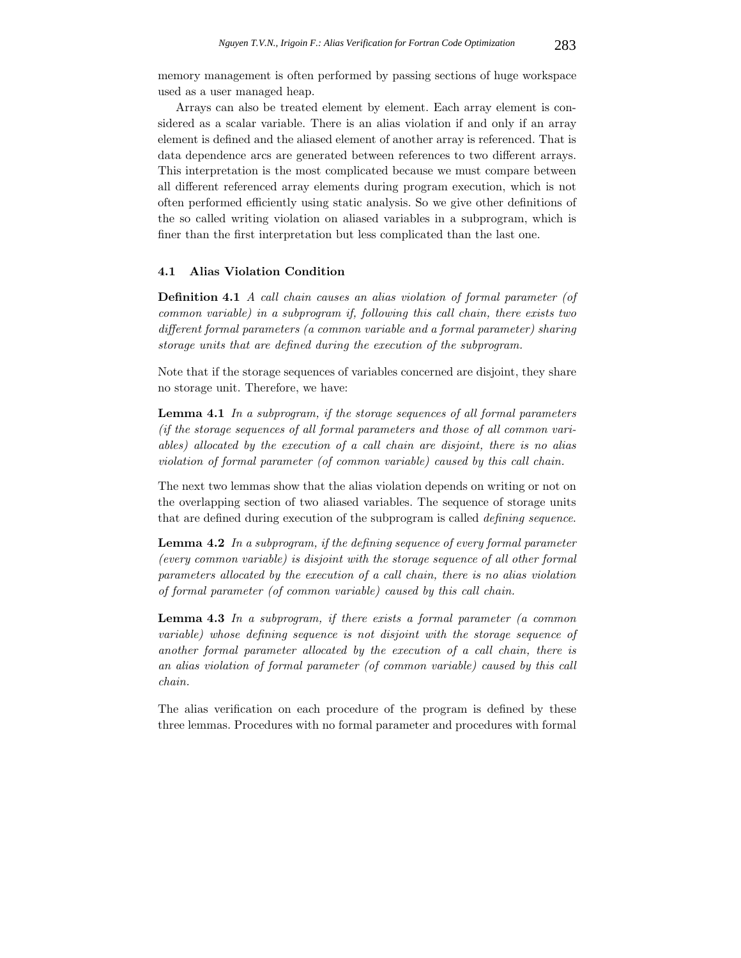memory management is often performed by passing sections of huge workspace used as a user managed heap.

Arrays can also be treated element by element. Each array element is considered as a scalar variable. There is an alias violation if and only if an array element is defined and the aliased element of another array is referenced. That is data dependence arcs are generated between references to two different arrays. This interpretation is the most complicated because we must compare between all different referenced array elements during program execution, which is not often performed efficiently using static analysis. So we give other definitions of the so called writing violation on aliased variables in a subprogram, which is finer than the first interpretation but less complicated than the last one.

# **4.1 Alias Violation Condition**

**Definition 4.1** *A call chain causes an alias violation of formal parameter (of common variable) in a subprogram if, following this call chain, there exists two different formal parameters (a common variable and a formal parameter) sharing storage units that are defined during the execution of the subprogram.*

Note that if the storage sequences of variables concerned are disjoint, they share no storage unit. Therefore, we have:

**Lemma 4.1** *In a subprogram, if the storage sequences of all formal parameters (if the storage sequences of all formal parameters and those of all common variables) allocated by the execution of a call chain are disjoint, there is no alias violation of formal parameter (of common variable) caused by this call chain.*

The next two lemmas show that the alias violation depends on writing or not on the overlapping section of two aliased variables. The sequence of storage units that are defined during execution of the subprogram is called *defining sequence*.

**Lemma 4.2** *In a subprogram, if the defining sequence of every formal parameter (every common variable) is disjoint with the storage sequence of all other formal parameters allocated by the execution of a call chain, there is no alias violation of formal parameter (of common variable) caused by this call chain.*

**Lemma 4.3** *In a subprogram, if there exists a formal parameter (a common variable) whose defining sequence is not disjoint with the storage sequence of another formal parameter allocated by the execution of a call chain, there is an alias violation of formal parameter (of common variable) caused by this call chain.*

The alias verification on each procedure of the program is defined by these three lemmas. Procedures with no formal parameter and procedures with formal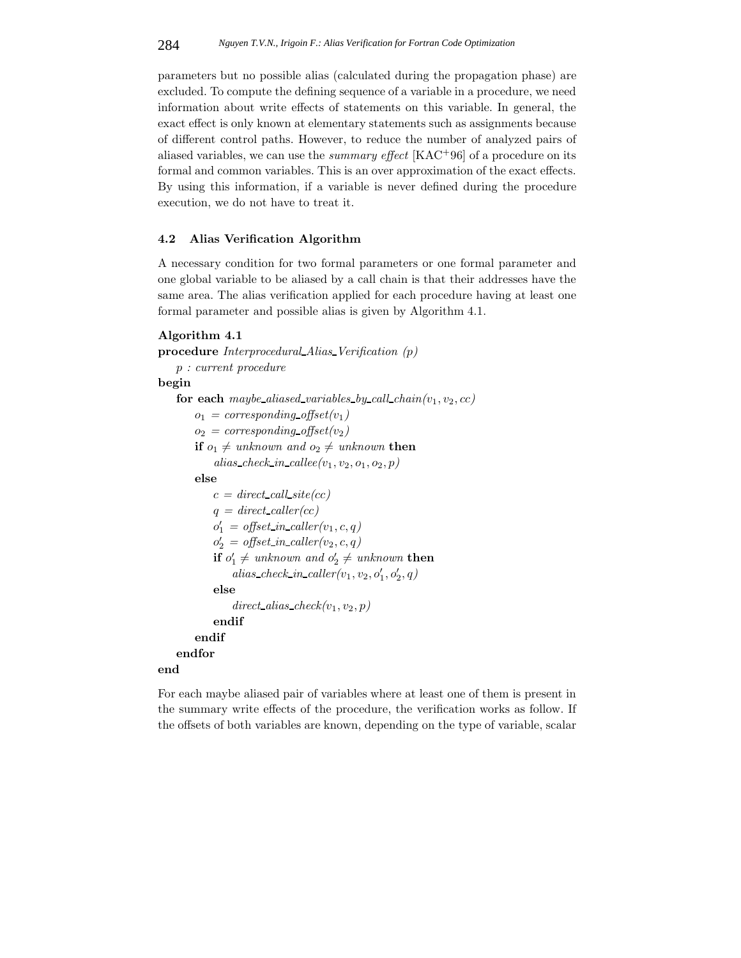parameters but no possible alias (calculated during the propagation phase) are excluded. To compute the defining sequence of a variable in a procedure, we need information about write effects of statements on this variable. In general, the exact effect is only known at elementary statements such as assignments because of different control paths. However, to reduce the number of analyzed pairs of aliased variables, we can use the *summary effect* [KAC+96] of a procedure on its formal and common variables. This is an over approximation of the exact effects. By using this information, if a variable is never defined during the procedure execution, we do not have to treat it.

### **4.2 Alias Verification Algorithm**

A necessary condition for two formal parameters or one formal parameter and one global variable to be aliased by a call chain is that their addresses have the same area. The alias verification applied for each procedure having at least one formal parameter and possible alias is given by Algorithm 4.1.

### **Algorithm 4.1**

```
procedure Interprocedural Alias Verification (p)
    p : current procedure
begin
    for each maybe aliased variables by call chain(v_1, v_2, cc)o_1 = corresponding_offset(v_1)
         o_2 = corresponding offset(v<sub>2</sub>)
         \mathbf{if} o_1 \neq unknown \ and \ o_2 \neq unknown \ \mathbf{then}alias\_check\_in\_called(v_1, v_2, o_1, o_2, p)else
             c = direct\_call\_site(cc)q = direct\_caller(cc)o'_1 = \text{offset\_in\_caller}(v_1, c, q)o'_2 = \text{offset\_in\_caller}(v_2, c, q)\mathbf{if} \ o'_1 \neq \textit{unknown} \ and \ o'_2 \neq \textit{unknown} \ \mathbf{then}alias\_check\_in\_caller(v_1, v_2, o'_1, o'_2, q)else
                  direct\_alias\_check(v_1, v_2, p)endif
         endif
    endfor
end
```
For each maybe aliased pair of variables where at least one of them is present in the summary write effects of the procedure, the verification works as follow. If the offsets of both variables are known, depending on the type of variable, scalar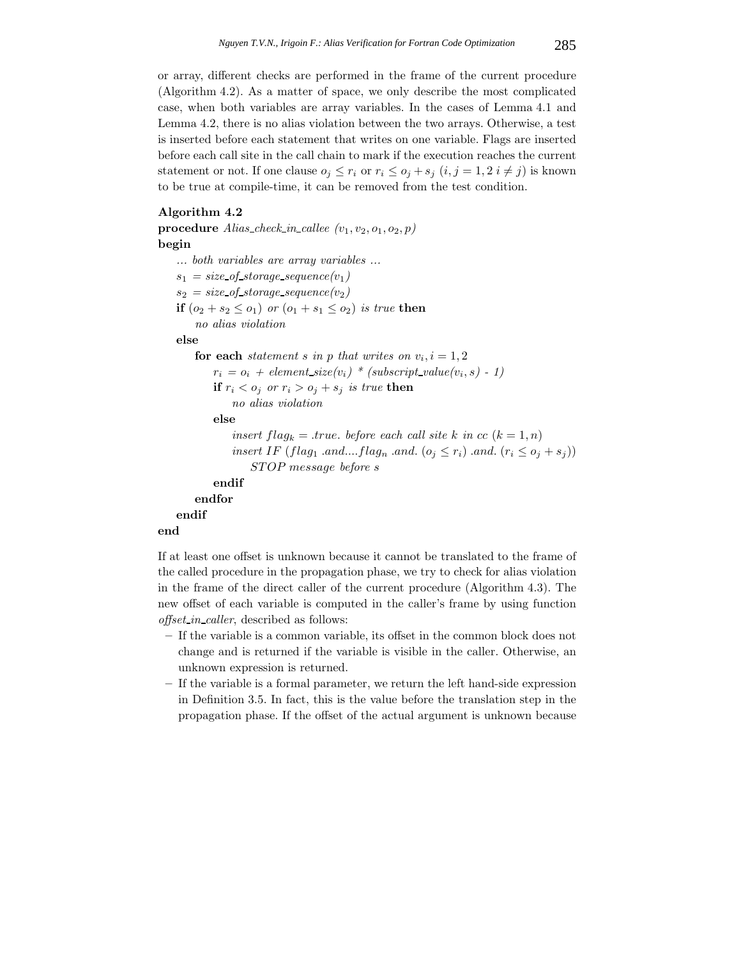or array, different checks are performed in the frame of the current procedure (Algorithm 4.2). As a matter of space, we only describe the most complicated case, when both variables are array variables. In the cases of Lemma 4.1 and Lemma 4.2, there is no alias violation between the two arrays. Otherwise, a test is inserted before each statement that writes on one variable. Flags are inserted before each call site in the call chain to mark if the execution reaches the current statement or not. If one clause  $o_j \leq r_i$  or  $r_i \leq o_j + s_j$   $(i, j = 1, 2, i \neq j)$  is known to be true at compile-time, it can be removed from the test condition.

### **Algorithm 4.2**

**procedure** *Alias\_check\_in\_callee*  $(v_1, v_2, o_1, o_2, p)$ **begin** *... both variables are array variables ...*  $s_1 = size\_of\_storage\_sequence(v_1)$  $s_2 = size\_of\_storage\_sequence(v_2)$ **if**  $(o_2 + s_2 \leq o_1)$  *or*  $(o_1 + s_1 \leq o_2)$  *is true* **then** *no alias violation* **else for each** *statement s* in *p that writes on*  $v_i$ ,  $i = 1, 2$  $r_i = o_i + element\_size(v_i) * (subset\_value(v_i, s) - 1)$ **if**  $r_i < o_j$  or  $r_i > o_j + s_j$  *is true* **then** *no alias violation* **else** *insert*  $flag_k = true$ *. before each call site k in*  $cc$  ( $k = 1, n$ ) *insert IF* (*flag*<sub>1</sub> *.and....flag*<sub>*n*</sub> *.and.* ( $o_j \leq r_i$ ) *.and.* ( $r_i \leq o_j + s_j$ )) *ST OP message before s* **endif endfor endif end**

If at least one offset is unknown because it cannot be translated to the frame of the called procedure in the propagation phase, we try to check for alias violation in the frame of the direct caller of the current procedure (Algorithm 4.3). The new offset of each variable is computed in the caller's frame by using function *offset in caller*, described as follows:

- **–** If the variable is a common variable, its offset in the common block does not change and is returned if the variable is visible in the caller. Otherwise, an unknown expression is returned.
- **–** If the variable is a formal parameter, we return the left hand-side expression in Definition 3.5. In fact, this is the value before the translation step in the propagation phase. If the offset of the actual argument is unknown because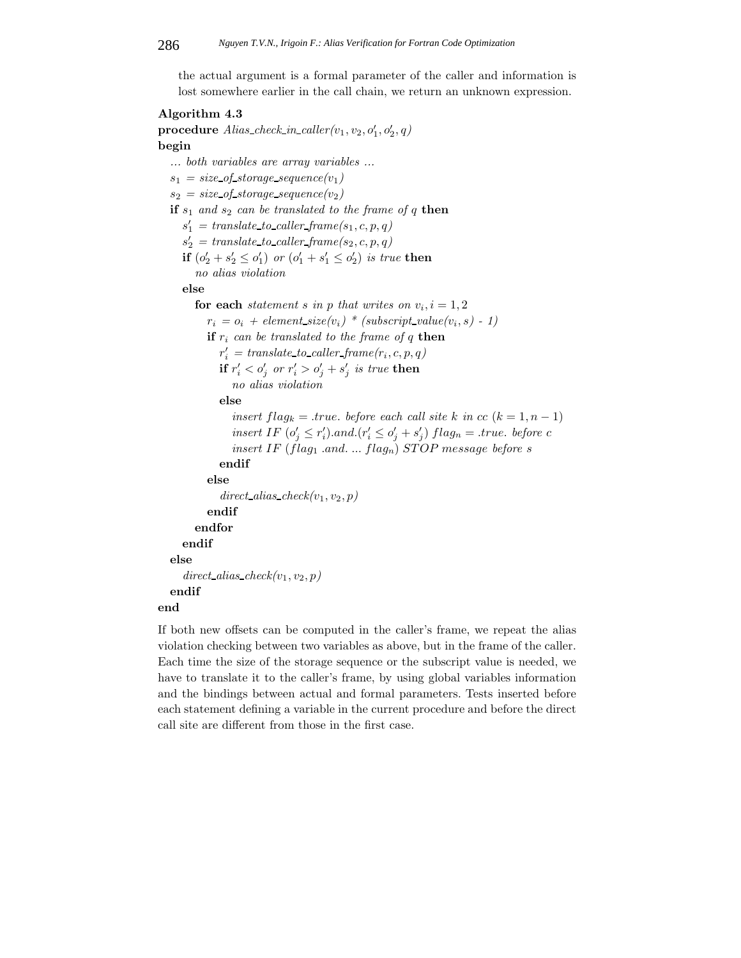the actual argument is a formal parameter of the caller and information is lost somewhere earlier in the call chain, we return an unknown expression.

# **Algorithm 4.3**

 ${\bf procedure}~~Alias\_check\_in\_caller(v_1,v_2,o'_1,o'_2,q)$ **begin** *... both variables are array variables ...*  $s_1 = size\_of\_storage\_sequence(v_1)$  $s_2 = size\_of\_storage\_sequence(v_2)$ **if**  $s_1$  *and*  $s_2$  *can be translated to the frame of q* **then**  $s'_1$  = translate\_to\_caller\_frame( $s_1, c, p, q$ )  $s'_2$  = translate\_to\_caller\_frame( $s_2, c, p, q$ ) **if**  $(o'_2 + s'_2 \leq o'_1)$  *or*  $(o'_1 + s'_1 \leq o'_2)$  *is true* **then** *no alias violation* **else for each** *statement s* in *p that writes on*  $v_i$ *,*  $i = 1, 2$  $r_i = o_i + element\_size(v_i) * (subset\_value(v_i, s) - 1)$ **if**  $r_i$  can be translated to the frame of  $q$  **then**  $r'_{i}$  = translate\_to\_caller\_frame( $r_{i}$ ,  $c, p, q$ )  $\mathbf{if} \ r'_i < o'_j \ \ or \ r'_i > o'_j + s'_j \ \ is \ \ true \ \ \mathbf{then}$ *no alias violation* **else** *insert*  $flag_k = .true$ *. before each call site*  $k$  *in*  $cc$  ( $k = 1, n - 1$ ) *insert IF*  $(o'_j \leq r'_i)$ *.and.* $(r'_i \leq o'_j + s'_j)$   $flag_n = .true$ *. before c insert* IF ( $flag_1$  *.and.* ...  $flag_n$ ) *STOP* message *before s* **endif else**  $direct\_alias\_check(v_1, v_2, p)$ **endif endfor endif else**  $direct\_alias\_check(v_1, v_2, p)$ **endif end**

If both new offsets can be computed in the caller's frame, we repeat the alias violation checking between two variables as above, but in the frame of the caller. Each time the size of the storage sequence or the subscript value is needed, we have to translate it to the caller's frame, by using global variables information and the bindings between actual and formal parameters. Tests inserted before each statement defining a variable in the current procedure and before the direct call site are different from those in the first case.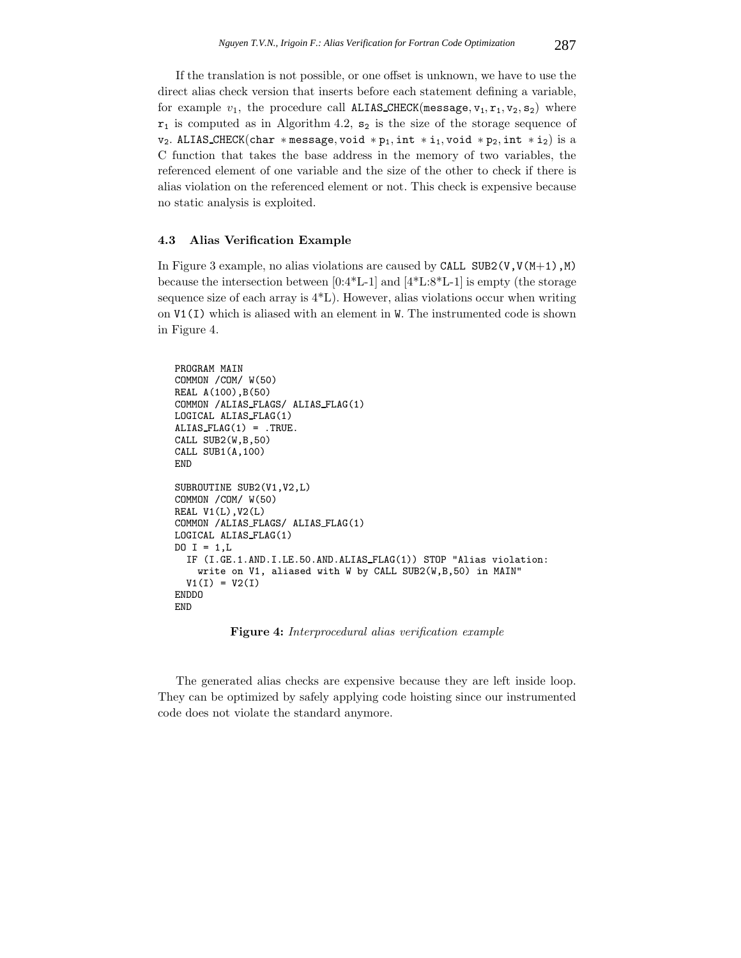If the translation is not possible, or one offset is unknown, we have to use the direct alias check version that inserts before each statement defining a variable, for example  $v_1$ , the procedure call ALIAS CHECK(message,  $v_1$ ,  $r_1$ ,  $v_2$ ,  $s_2$ ) where  $r_1$  is computed as in Algorithm 4.2,  $s_2$  is the size of the storage sequence of v<sub>2</sub>. ALIAS\_CHECK(char \*message, void \*p<sub>1</sub>, int \*i<sub>1</sub>, void \*p<sub>2</sub>, int \*i<sub>2</sub>) is a C function that takes the base address in the memory of two variables, the referenced element of one variable and the size of the other to check if there is alias violation on the referenced element or not. This check is expensive because no static analysis is exploited.

#### **4.3 Alias Verification Example**

In Figure 3 example, no alias violations are caused by CALL SUB2( $V, V(M+1)$ , M) because the intersection between [0:4\*L-1] and [4\*L:8\*L-1] is empty (the storage sequence size of each array is 4\*L). However, alias violations occur when writing on V1(I) which is aliased with an element in W. The instrumented code is shown in Figure 4.

```
PROGRAM MAIN
COMMON /COM/ W(50)
REAL A(100),B(50)
COMMON /ALIAS FLAGS/ ALIAS FLAG(1)
LOGICAL ALIAS FLAG(1)
ALIAS_FLAG(1) = .TRUE.CALL SUB2(W,B,50)
CALL SUB1(A,100)
END
SUBROUTINE SUB2(V1,V2,L)
COMMON /COM/ W(50)
REAL V1(L),V2(L)
COMMON /ALIAS FLAGS/ ALIAS FLAG(1)
LOGICAL ALIAS FLAG(1)
DO I = 1, LIF (I.GE.1.AND.I.LE.50.AND.ALIAS FLAG(1)) STOP "Alias violation:
    write on V1, aliased with W by CALL SUB2(W,B,50) in MAIN"
  V1(I) = V2(I)ENDDO
END
```
**Figure 4:** *Interprocedural alias verification example*

The generated alias checks are expensive because they are left inside loop. They can be optimized by safely applying code hoisting since our instrumented code does not violate the standard anymore.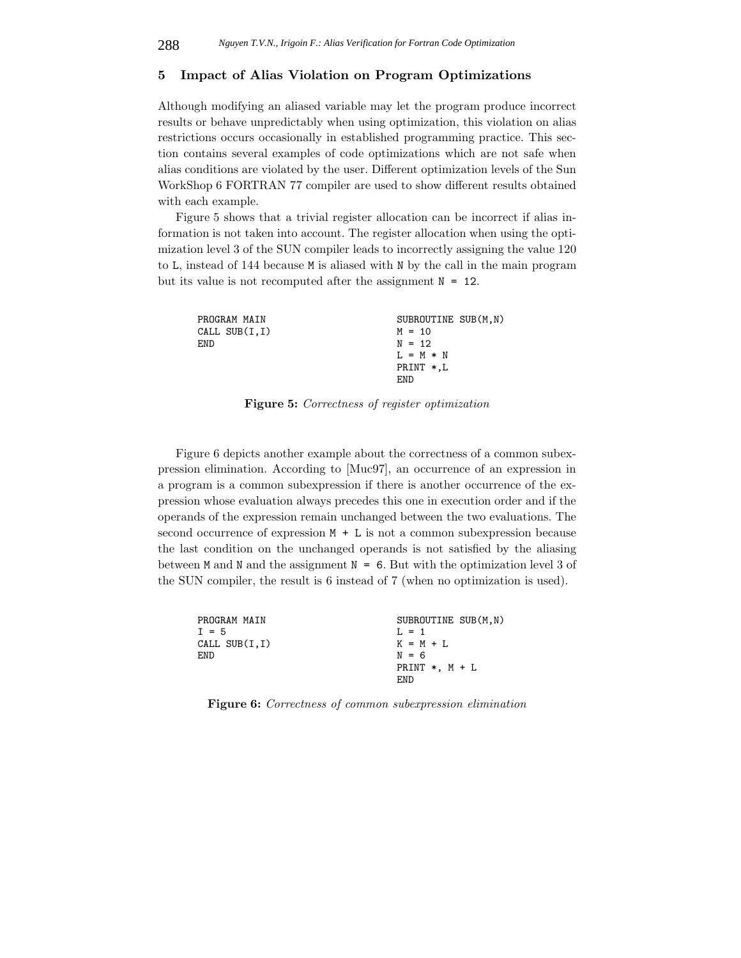## **5 Impact of Alias Violation on Program Optimizations**

Although modifying an aliased variable may let the program produce incorrect results or behave unpredictably when using optimization, this violation on alias restrictions occurs occasionally in established programming practice. This section contains several examples of code optimizations which are not safe when alias conditions are violated by the user. Different optimization levels of the Sun WorkShop 6 FORTRAN 77 compiler are used to show different results obtained with each example.

Figure 5 shows that a trivial register allocation can be incorrect if alias information is not taken into account. The register allocation when using the optimization level 3 of the SUN compiler leads to incorrectly assigning the value 120 to L, instead of 144 because M is aliased with N by the call in the main program but its value is not recomputed after the assignment  $N = 12$ .

| PROGRAM MAIN  | SUBROUTINE SUB(M,N) |
|---------------|---------------------|
| CALL SUB(I,I) | $M = 10$            |
| F.ND.         | $N = 12$            |
|               | $I. = M * N$        |
|               | PRINT $*,L$         |
|               | END                 |

**Figure 5:** *Correctness of register optimization*

Figure 6 depicts another example about the correctness of a common subexpression elimination. According to [Muc97], an occurrence of an expression in a program is a common subexpression if there is another occurrence of the expression whose evaluation always precedes this one in execution order and if the operands of the expression remain unchanged between the two evaluations. The second occurrence of expression  $M + L$  is not a common subexpression because the last condition on the unchanged operands is not satisfied by the aliasing between M and N and the assignment  $N = 6$ . But with the optimization level 3 of the SUN compiler, the result is 6 instead of 7 (when no optimization is used).

| PROGRAM MAIN      | SUBROUTINE SUB(M,N) |
|-------------------|---------------------|
| $I = 5$           | $T_1 = 1$           |
| CALL SUB $(I, I)$ | $K = M + L$         |
| <b>END</b>        | $N = 6$             |
|                   | PRINT $*$ . M + L   |
|                   | F.ND                |

**Figure 6:** *Correctness of common subexpression elimination*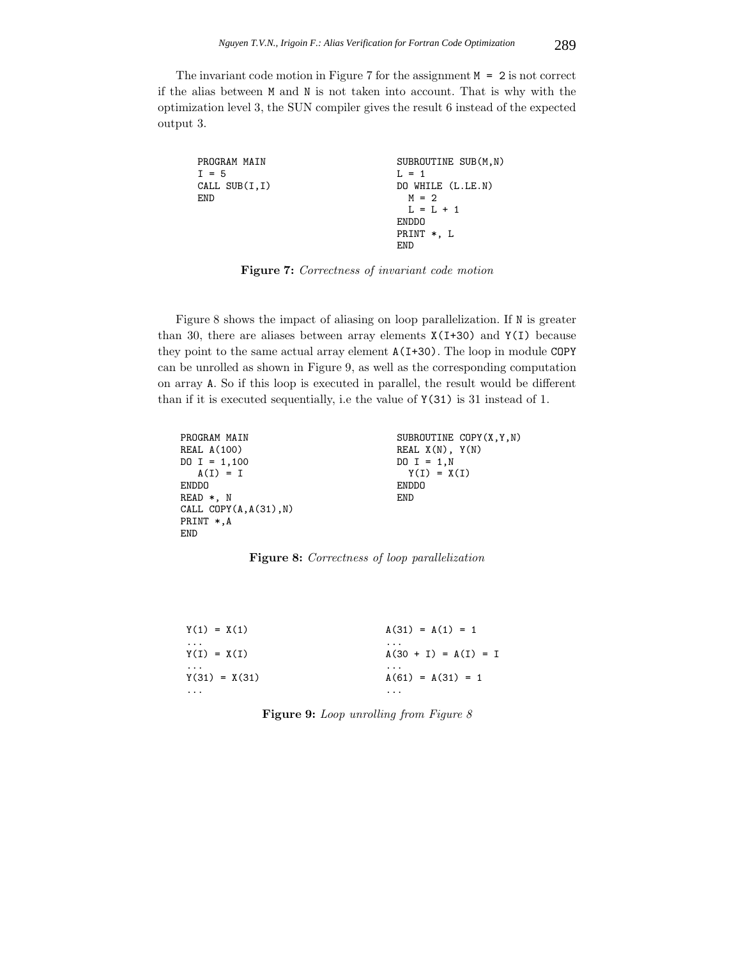The invariant code motion in Figure 7 for the assignment  $M = 2$  is not correct if the alias between M and N is not taken into account. That is why with the optimization level 3, the SUN compiler gives the result 6 instead of the expected output 3.

| PROGRAM MAIN<br>$I = 5$ | SUBROUTINE SUB(M, N)<br>$L = 1$ |
|-------------------------|---------------------------------|
| CALL $SUB(I, I)$        | DO WHILE (L.LE.N)               |
| <b>END</b>              | $M = 2$                         |
|                         | $L = L + 1$                     |
|                         | <b>ENDDO</b>                    |
|                         | PRINT *, L                      |
|                         | F.ND                            |

**Figure 7:** *Correctness of invariant code motion*

Figure 8 shows the impact of aliasing on loop parallelization. If N is greater than 30, there are aliases between array elements  $X(I+30)$  and  $Y(I)$  because they point to the same actual array element A(I+30). The loop in module COPY can be unrolled as shown in Figure 9, as well as the corresponding computation on array A. So if this loop is executed in parallel, the result would be different than if it is executed sequentially, i.e the value of Y(31) is 31 instead of 1.

| PROGRAM MAIN             | SUBROUTINE COPY(X, Y, N) |
|--------------------------|--------------------------|
| REAL A(100)              | REAL $X(N)$ , $Y(N)$     |
| $DO I = 1,100$           | $DO I = 1,N$             |
| $A(I) = I$               | $Y(I) = X(I)$            |
| ENDDO                    | <b>ENDDO</b>             |
| READ *. N                | <b>END</b>               |
| CALL $COPY(A, A(31), N)$ |                          |
| PRINT *.A                |                          |
| END                      |                          |
|                          |                          |

**Figure 8:** *Correctness of loop parallelization*

| $Y(1) = X(1)$   | $A(31) = A(1) = 1$     |
|-----------------|------------------------|
| $\cdots$        | $\cdots$               |
| $Y(I) = X(I)$   | $A(30 + I) = A(I) = I$ |
| $\cdots$        | $\cdots$               |
| $Y(31) = X(31)$ | $A(61) = A(31) = 1$    |
| .               | $\cdots$               |

**Figure 9:** *Loop unrolling from Figure 8*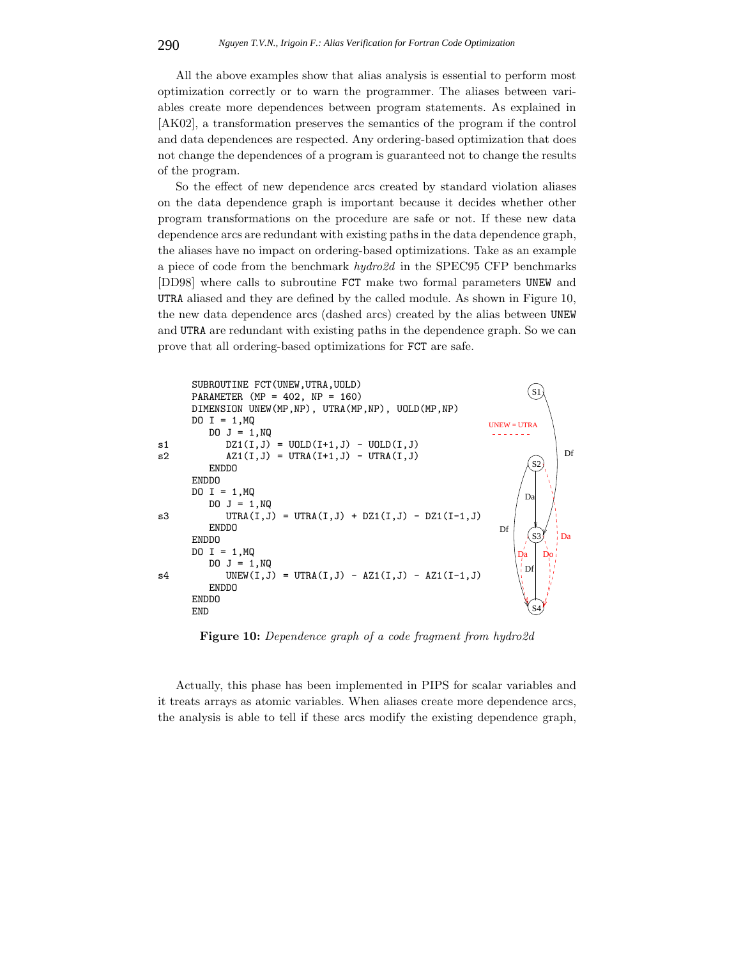All the above examples show that alias analysis is essential to perform most optimization correctly or to warn the programmer. The aliases between variables create more dependences between program statements. As explained in [AK02], a transformation preserves the semantics of the program if the control and data dependences are respected. Any ordering-based optimization that does not change the dependences of a program is guaranteed not to change the results of the program.

So the effect of new dependence arcs created by standard violation aliases on the data dependence graph is important because it decides whether other program transformations on the procedure are safe or not. If these new data dependence arcs are redundant with existing paths in the data dependence graph, the aliases have no impact on ordering-based optimizations. Take as an example a piece of code from the benchmark *hydro2d* in the SPEC95 CFP benchmarks [DD98] where calls to subroutine FCT make two formal parameters UNEW and UTRA aliased and they are defined by the called module. As shown in Figure 10, the new data dependence arcs (dashed arcs) created by the alias between UNEW and UTRA are redundant with existing paths in the dependence graph. So we can prove that all ordering-based optimizations for FCT are safe.



**Figure 10:** *Dependence graph of a code fragment from hydro2d*

Actually, this phase has been implemented in PIPS for scalar variables and it treats arrays as atomic variables. When aliases create more dependence arcs, the analysis is able to tell if these arcs modify the existing dependence graph,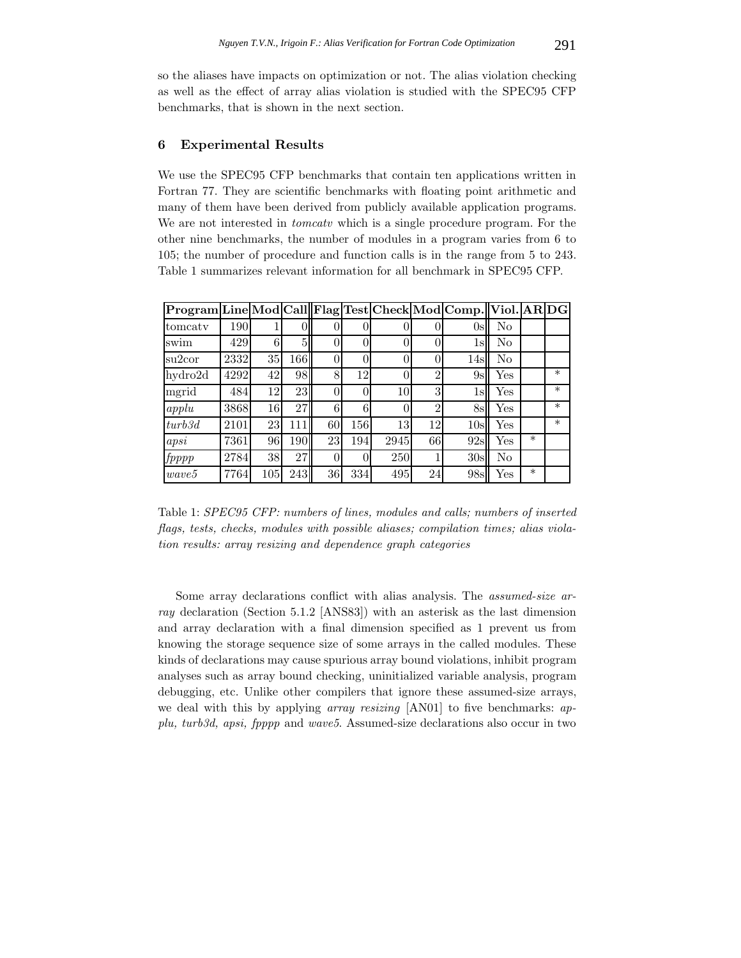so the aliases have impacts on optimization or not. The alias violation checking as well as the effect of array alias violation is studied with the SPEC95 CFP benchmarks, that is shown in the next section.

### **6 Experimental Results**

We use the SPEC95 CFP benchmarks that contain ten applications written in Fortran 77. They are scientific benchmarks with floating point arithmetic and many of them have been derived from publicly available application programs. We are not interested in *tomcatv* which is a single procedure program. For the other nine benchmarks, the number of modules in a program varies from 6 to 105; the number of procedure and function calls is in the range from 5 to 243. Table 1 summarizes relevant information for all benchmark in SPEC95 CFP.

| Program Line Mod Call Flag Test Check Mod Comp. Viol. AR DG |      |        |     |                |     |      |                  |     |                |        |        |
|-------------------------------------------------------------|------|--------|-----|----------------|-----|------|------------------|-----|----------------|--------|--------|
| tomcaty                                                     | 190  |        | O   | $\theta$       |     |      | U                | 0s  | No             |        |        |
| swim                                                        | 429  | 6      | 5   | $\theta$       |     |      |                  | 1s  | No             |        |        |
| su2cor                                                      | 2332 | $35\,$ | 166 | $\theta$       |     |      | $\left( \right)$ | 14s | N <sub>o</sub> |        |        |
| hydro2d                                                     | 4292 | 42     | 98  | 8              | 12  |      | $\mathcal{D}$    | 9s  | Yes            |        | $\ast$ |
| mgrid                                                       | 484  | 12     | 23  | $\overline{0}$ |     | 10   | 3                | 1s  | Yes            |        | $\ast$ |
| apply                                                       | 3868 | 16     | 27  | 6              | 6   |      | $\overline{2}$   | 8s  | Yes            |        | $\ast$ |
| turb3d                                                      | 2101 | 23     | 111 | 60             | 156 | 13   | 12               | 10s | Yes            |        | $\ast$ |
| apsi                                                        | 7361 | 96     | 190 | 23             | 194 | 2945 | 66               | 92s | Yes            | $\ast$ |        |
| fpppp                                                       | 2784 | 38     | 27  | $\overline{0}$ |     | 250  |                  | 30s | No             |        |        |
| wave5                                                       | 7764 | 105    | 243 | 36             | 334 | 495  | 24               | 98s | Yes            | $\ast$ |        |

Table 1: *SPEC95 CFP: numbers of lines, modules and calls; numbers of inserted flags, tests, checks, modules with possible aliases; compilation times; alias violation results: array resizing and dependence graph categories*

Some array declarations conflict with alias analysis. The *assumed-size array* declaration (Section 5.1.2 [ANS83]) with an asterisk as the last dimension and array declaration with a final dimension specified as 1 prevent us from knowing the storage sequence size of some arrays in the called modules. These kinds of declarations may cause spurious array bound violations, inhibit program analyses such as array bound checking, uninitialized variable analysis, program debugging, etc. Unlike other compilers that ignore these assumed-size arrays, we deal with this by applying *array resizing* [AN01] to five benchmarks: *applu, turb3d, apsi, fpppp* and *wave5*. Assumed-size declarations also occur in two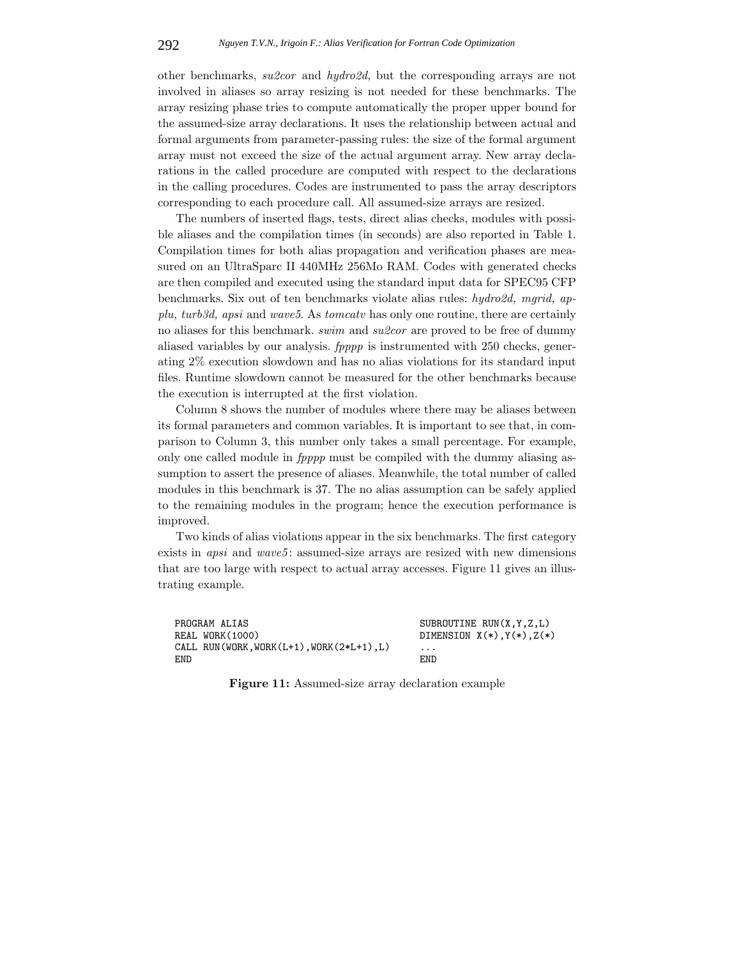other benchmarks, *su2cor* and *hydro2d*, but the corresponding arrays are not involved in aliases so array resizing is not needed for these benchmarks. The array resizing phase tries to compute automatically the proper upper bound for the assumed-size array declarations. It uses the relationship between actual and formal arguments from parameter-passing rules: the size of the formal argument array must not exceed the size of the actual argument array. New array declarations in the called procedure are computed with respect to the declarations in the calling procedures. Codes are instrumented to pass the array descriptors corresponding to each procedure call. All assumed-size arrays are resized.

The numbers of inserted flags, tests, direct alias checks, modules with possible aliases and the compilation times (in seconds) are also reported in Table 1. Compilation times for both alias propagation and verification phases are measured on an UltraSparc II 440MHz 256Mo RAM. Codes with generated checks are then compiled and executed using the standard input data for SPEC95 CFP benchmarks. Six out of ten benchmarks violate alias rules: *hydro2d, mgrid, applu, turb3d, apsi* and *wave5*. As *tomcatv* has only one routine, there are certainly no aliases for this benchmark. *swim* and *su2cor* are proved to be free of dummy aliased variables by our analysis. *fpppp* is instrumented with 250 checks, generating 2% execution slowdown and has no alias violations for its standard input files. Runtime slowdown cannot be measured for the other benchmarks because the execution is interrupted at the first violation.

Column 8 shows the number of modules where there may be aliases between its formal parameters and common variables. It is important to see that, in comparison to Column 3, this number only takes a small percentage. For example, only one called module in *fpppp* must be compiled with the dummy aliasing assumption to assert the presence of aliases. Meanwhile, the total number of called modules in this benchmark is 37. The no alias assumption can be safely applied to the remaining modules in the program; hence the execution performance is improved.

Two kinds of alias violations appear in the six benchmarks. The first category exists in *apsi* and *wave5*: assumed-size arrays are resized with new dimensions that are too large with respect to actual array accesses. Figure 11 gives an illustrating example.

PROGRAM ALIAS SUBROUTINE RUN(X,Y,Z,L) REAL WORK(1000) DIMENSION  $X(*)$ ,  $Y(*)$ ,  $Z(*)$ CALL RUN(WORK, WORK( $L+1$ ), WORK( $2*L+1$ ),  $L$ ) END END

**Figure 11:** Assumed-size array declaration example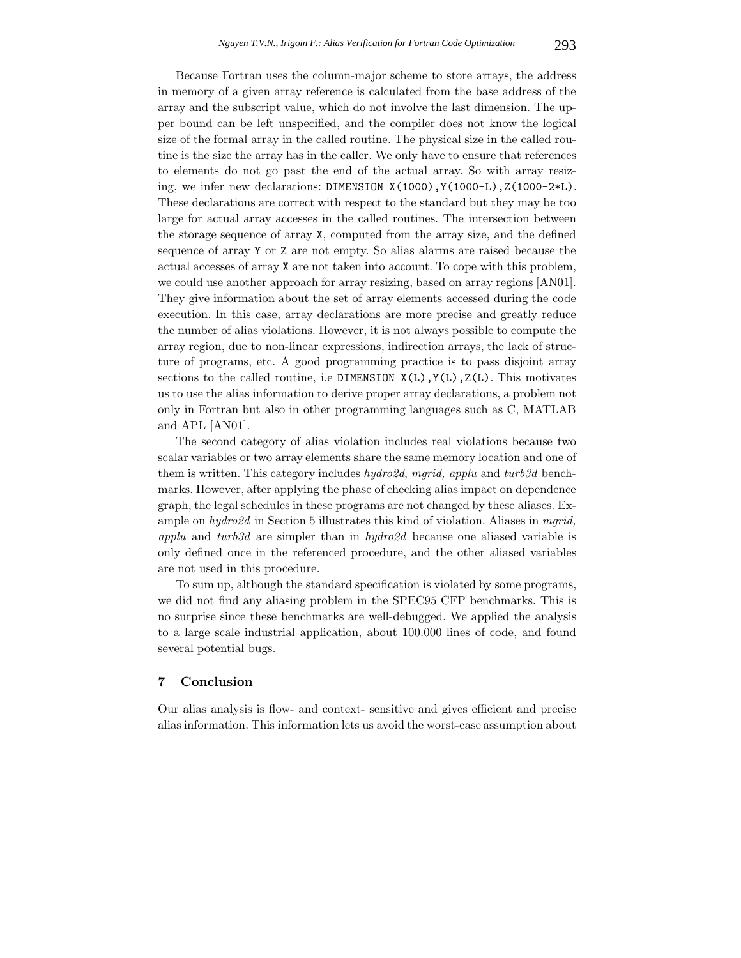Because Fortran uses the column-major scheme to store arrays, the address in memory of a given array reference is calculated from the base address of the array and the subscript value, which do not involve the last dimension. The upper bound can be left unspecified, and the compiler does not know the logical size of the formal array in the called routine. The physical size in the called routine is the size the array has in the caller. We only have to ensure that references to elements do not go past the end of the actual array. So with array resizing, we infer new declarations: DIMENSION X(1000),Y(1000-L),Z(1000-2\*L). These declarations are correct with respect to the standard but they may be too large for actual array accesses in the called routines. The intersection between the storage sequence of array X, computed from the array size, and the defined sequence of array Y or Z are not empty. So alias alarms are raised because the actual accesses of array X are not taken into account. To cope with this problem, we could use another approach for array resizing, based on array regions [AN01]. They give information about the set of array elements accessed during the code execution. In this case, array declarations are more precise and greatly reduce the number of alias violations. However, it is not always possible to compute the array region, due to non-linear expressions, indirection arrays, the lack of structure of programs, etc. A good programming practice is to pass disjoint array sections to the called routine, i.e DIMENSION  $X(L)$ ,  $Y(L)$ ,  $Z(L)$ . This motivates us to use the alias information to derive proper array declarations, a problem not only in Fortran but also in other programming languages such as C, MATLAB and APL [AN01].

The second category of alias violation includes real violations because two scalar variables or two array elements share the same memory location and one of them is written. This category includes *hydro2d*, *mgrid, applu* and *turb3d* benchmarks. However, after applying the phase of checking alias impact on dependence graph, the legal schedules in these programs are not changed by these aliases. Example on *hydro2d* in Section 5 illustrates this kind of violation. Aliases in *mgrid, applu* and *turb3d* are simpler than in *hydro2d* because one aliased variable is only defined once in the referenced procedure, and the other aliased variables are not used in this procedure.

To sum up, although the standard specification is violated by some programs, we did not find any aliasing problem in the SPEC95 CFP benchmarks. This is no surprise since these benchmarks are well-debugged. We applied the analysis to a large scale industrial application, about 100.000 lines of code, and found several potential bugs.

### **7 Conclusion**

Our alias analysis is flow- and context- sensitive and gives efficient and precise alias information. This information lets us avoid the worst-case assumption about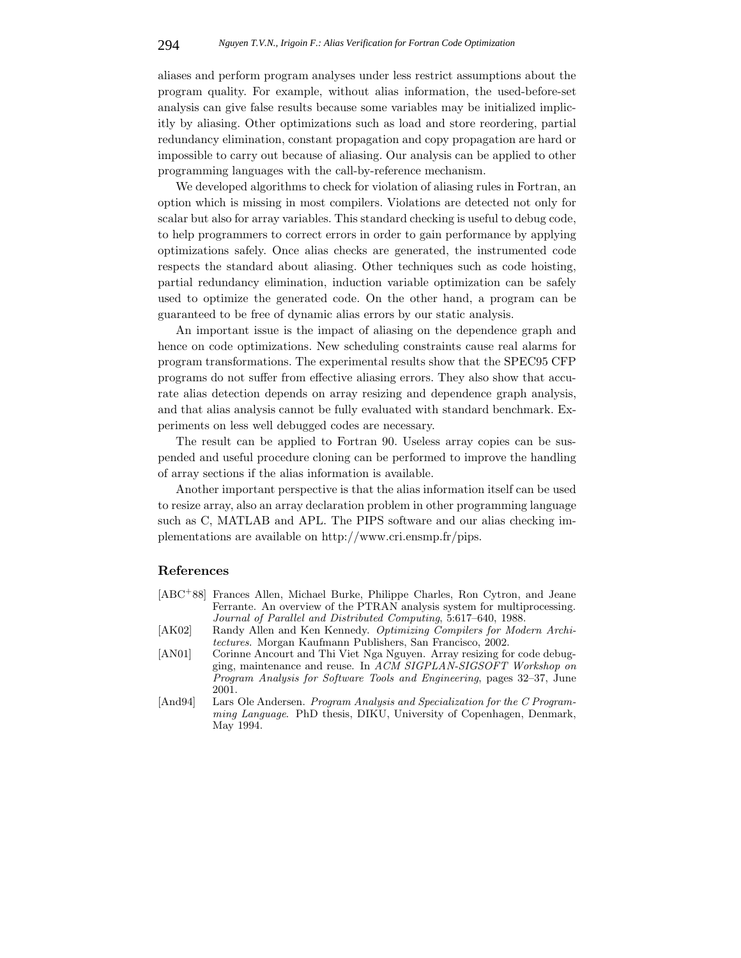aliases and perform program analyses under less restrict assumptions about the program quality. For example, without alias information, the used-before-set analysis can give false results because some variables may be initialized implicitly by aliasing. Other optimizations such as load and store reordering, partial redundancy elimination, constant propagation and copy propagation are hard or impossible to carry out because of aliasing. Our analysis can be applied to other programming languages with the call-by-reference mechanism.

We developed algorithms to check for violation of aliasing rules in Fortran, an option which is missing in most compilers. Violations are detected not only for scalar but also for array variables. This standard checking is useful to debug code, to help programmers to correct errors in order to gain performance by applying optimizations safely. Once alias checks are generated, the instrumented code respects the standard about aliasing. Other techniques such as code hoisting, partial redundancy elimination, induction variable optimization can be safely used to optimize the generated code. On the other hand, a program can be guaranteed to be free of dynamic alias errors by our static analysis.

An important issue is the impact of aliasing on the dependence graph and hence on code optimizations. New scheduling constraints cause real alarms for program transformations. The experimental results show that the SPEC95 CFP programs do not suffer from effective aliasing errors. They also show that accurate alias detection depends on array resizing and dependence graph analysis, and that alias analysis cannot be fully evaluated with standard benchmark. Experiments on less well debugged codes are necessary.

The result can be applied to Fortran 90. Useless array copies can be suspended and useful procedure cloning can be performed to improve the handling of array sections if the alias information is available.

Another important perspective is that the alias information itself can be used to resize array, also an array declaration problem in other programming language such as C, MATLAB and APL. The PIPS software and our alias checking implementations are available on http://www.cri.ensmp.fr/pips.

### **References**

- [ABC<sup>+</sup>88] Frances Allen, Michael Burke, Philippe Charles, Ron Cytron, and Jeane Ferrante. An overview of the PTRAN analysis system for multiprocessing. *Journal of Parallel and Distributed Computing*, 5:617–640, 1988.
- [AK02] Randy Allen and Ken Kennedy. *Optimizing Compilers for Modern Architectures*. Morgan Kaufmann Publishers, San Francisco, 2002.
- [AN01] Corinne Ancourt and Thi Viet Nga Nguyen. Array resizing for code debugging, maintenance and reuse. In *ACM SIGPLAN-SIGSOFT Workshop on Program Analysis for Software Tools and Engineering*, pages 32–37, June 2001.
- [And94] Lars Ole Andersen. *Program Analysis and Specialization for the C Programming Language*. PhD thesis, DIKU, University of Copenhagen, Denmark, May 1994.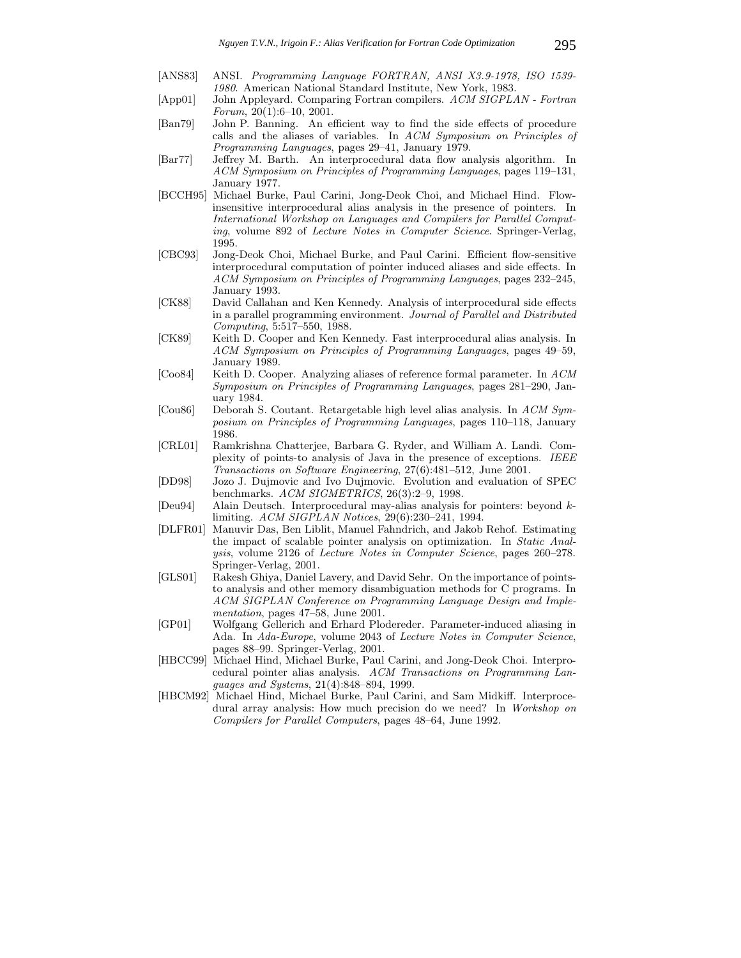- [ANS83] ANSI. *Programming Language FORTRAN, ANSI X3.9-1978, ISO 1539- 1980*. American National Standard Institute, New York, 1983.
- [App01] John Appleyard. Comparing Fortran compilers. *ACM SIGPLAN Fortran Forum*, 20(1):6–10, 2001.
- [Ban79] John P. Banning. An efficient way to find the side effects of procedure calls and the aliases of variables. In *ACM Symposium on Principles of Programming Languages*, pages 29–41, January 1979.
- [Bar77] Jeffrey M. Barth. An interprocedural data flow analysis algorithm. In *ACM Symposium on Principles of Programming Languages*, pages 119–131, January 1977.
- [BCCH95] Michael Burke, Paul Carini, Jong-Deok Choi, and Michael Hind. Flowinsensitive interprocedural alias analysis in the presence of pointers. In *International Workshop on Languages and Compilers for Parallel Computing*, volume 892 of *Lecture Notes in Computer Science*. Springer-Verlag, 1995.
- [CBC93] Jong-Deok Choi, Michael Burke, and Paul Carini. Efficient flow-sensitive interprocedural computation of pointer induced aliases and side effects. In *ACM Symposium on Principles of Programming Languages*, pages 232–245, January 1993.
- [CK88] David Callahan and Ken Kennedy. Analysis of interprocedural side effects in a parallel programming environment. *Journal of Parallel and Distributed Computing*, 5:517–550, 1988.
- [CK89] Keith D. Cooper and Ken Kennedy. Fast interprocedural alias analysis. In *ACM Symposium on Principles of Programming Languages*, pages 49–59, January 1989.
- [Coo84] Keith D. Cooper. Analyzing aliases of reference formal parameter. In *ACM Symposium on Principles of Programming Languages*, pages 281–290, January 1984.
- [Cou86] Deborah S. Coutant. Retargetable high level alias analysis. In *ACM Symposium on Principles of Programming Languages*, pages 110–118, January 1986.
- [CRL01] Ramkrishna Chatterjee, Barbara G. Ryder, and William A. Landi. Complexity of points-to analysis of Java in the presence of exceptions. *IEEE Transactions on Software Engineering*, 27(6):481–512, June 2001.
- [DD98] Jozo J. Dujmovic and Ivo Dujmovic. Evolution and evaluation of SPEC benchmarks. *ACM SIGMETRICS*, 26(3):2–9, 1998.
- [Deu94] Alain Deutsch. Interprocedural may-alias analysis for pointers: beyond *k*limiting. *ACM SIGPLAN Notices*, 29(6):230–241, 1994.
- [DLFR01] Manuvir Das, Ben Liblit, Manuel Fahndrich, and Jakob Rehof. Estimating the impact of scalable pointer analysis on optimization. In *Static Analysis*, volume 2126 of *Lecture Notes in Computer Science*, pages 260–278. Springer-Verlag, 2001.
- [GLS01] Rakesh Ghiya, Daniel Lavery, and David Sehr. On the importance of pointsto analysis and other memory disambiguation methods for C programs. In *ACM SIGPLAN Conference on Programming Language Design and Implementation*, pages 47–58, June 2001.
- [GP01] Wolfgang Gellerich and Erhard Plodereder. Parameter-induced aliasing in Ada. In *Ada-Europe*, volume 2043 of *Lecture Notes in Computer Science*, pages 88–99. Springer-Verlag, 2001.
- [HBCC99] Michael Hind, Michael Burke, Paul Carini, and Jong-Deok Choi. Interprocedural pointer alias analysis. *ACM Transactions on Programming Languages and Systems*, 21(4):848–894, 1999.
- [HBCM92] Michael Hind, Michael Burke, Paul Carini, and Sam Midkiff. Interprocedural array analysis: How much precision do we need? In *Workshop on Compilers for Parallel Computers*, pages 48–64, June 1992.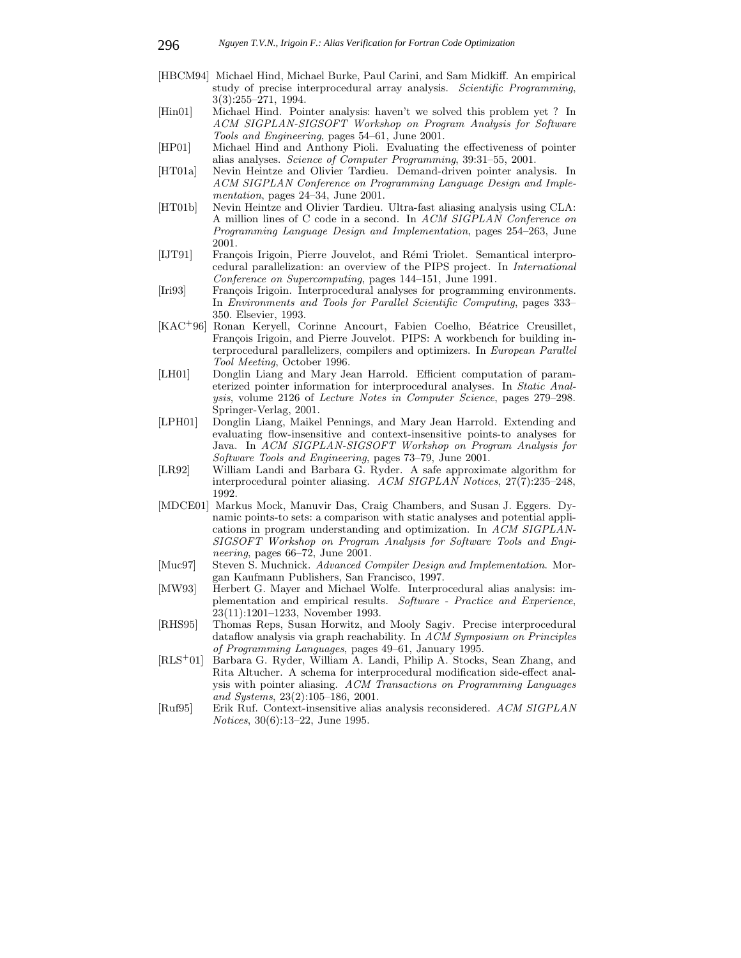- [HBCM94] Michael Hind, Michael Burke, Paul Carini, and Sam Midkiff. An empirical study of precise interprocedural array analysis. *Scientific Programming*, 3(3):255–271, 1994.
- [Hin01] Michael Hind. Pointer analysis: haven't we solved this problem yet ? In *ACM SIGPLAN-SIGSOFT Workshop on Program Analysis for Software Tools and Engineering*, pages 54–61, June 2001.
- [HP01] Michael Hind and Anthony Pioli. Evaluating the effectiveness of pointer alias analyses. *Science of Computer Programming*, 39:31–55, 2001.
- [HT01a] Nevin Heintze and Olivier Tardieu. Demand-driven pointer analysis. In *ACM SIGPLAN Conference on Programming Language Design and Implementation*, pages 24–34, June 2001.
- [HT01b] Nevin Heintze and Olivier Tardieu. Ultra-fast aliasing analysis using CLA: A million lines of C code in a second. In *ACM SIGPLAN Conference on Programming Language Design and Implementation*, pages 254–263, June 2001.
- [IJT91] François Irigoin, Pierre Jouvelot, and Rémi Triolet. Semantical interprocedural parallelization: an overview of the PIPS project. In *International Conference on Supercomputing*, pages 144–151, June 1991.
- [Iri93] Francois Irigoin. Interprocedural analyses for programming environments. In *Environments and Tools for Parallel Scientific Computing*, pages 333– 350. Elsevier, 1993.
- [KAC<sup>+</sup>96] Ronan Keryell, Corinne Ancourt, Fabien Coelho, Béatrice Creusillet, François Irigoin, and Pierre Jouvelot. PIPS: A workbench for building interprocedural parallelizers, compilers and optimizers. In *European Parallel Tool Meeting*, October 1996.
- [LH01] Donglin Liang and Mary Jean Harrold. Efficient computation of parameterized pointer information for interprocedural analyses. In *Static Analysis*, volume 2126 of *Lecture Notes in Computer Science*, pages 279–298. Springer-Verlag, 2001.
- [LPH01] Donglin Liang, Maikel Pennings, and Mary Jean Harrold. Extending and evaluating flow-insensitive and context-insensitive points-to analyses for Java. In *ACM SIGPLAN-SIGSOFT Workshop on Program Analysis for Software Tools and Engineering*, pages 73–79, June 2001.
- [LR92] William Landi and Barbara G. Ryder. A safe approximate algorithm for interprocedural pointer aliasing. *ACM SIGPLAN Notices*, 27(7):235–248, 1992.
- [MDCE01] Markus Mock, Manuvir Das, Craig Chambers, and Susan J. Eggers. Dynamic points-to sets: a comparison with static analyses and potential applications in program understanding and optimization. In *ACM SIGPLAN-SIGSOFT Workshop on Program Analysis for Software Tools and Engineering*, pages 66–72, June 2001.
- [Muc97] Steven S. Muchnick. *Advanced Compiler Design and Implementation*. Morgan Kaufmann Publishers, San Francisco, 1997.
- [MW93] Herbert G. Mayer and Michael Wolfe. Interprocedural alias analysis: implementation and empirical results. *Software - Practice and Experience*, 23(11):1201–1233, November 1993.
- [RHS95] Thomas Reps, Susan Horwitz, and Mooly Sagiv. Precise interprocedural dataflow analysis via graph reachability. In *ACM Symposium on Principles of Programming Languages*, pages 49–61, January 1995.
- [RLS<sup>+</sup>01] Barbara G. Ryder, William A. Landi, Philip A. Stocks, Sean Zhang, and Rita Altucher. A schema for interprocedural modification side-effect analysis with pointer aliasing. *ACM Transactions on Programming Languages and Systems*, 23(2):105–186, 2001.
- [Ruf95] Erik Ruf. Context-insensitive alias analysis reconsidered. *ACM SIGPLAN Notices*, 30(6):13–22, June 1995.